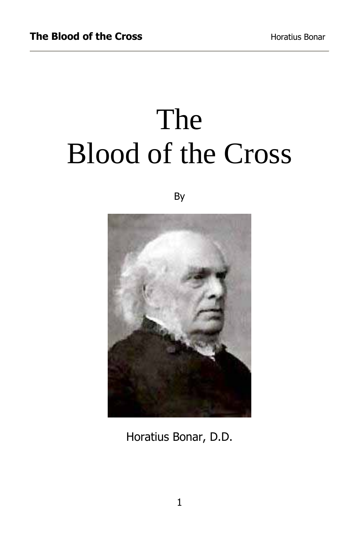# The Blood of the Cross

By



Horatius Bonar, D.D.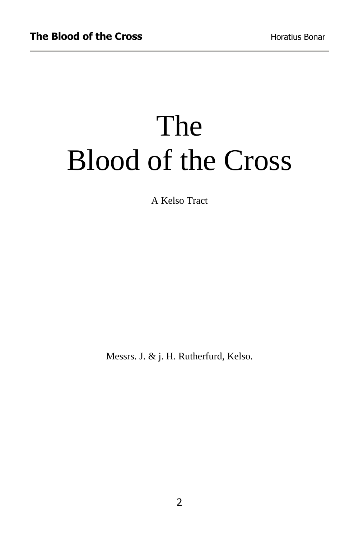# The Blood of the Cross

A Kelso Tract

Messrs. J. & j. H. Rutherfurd, Kelso.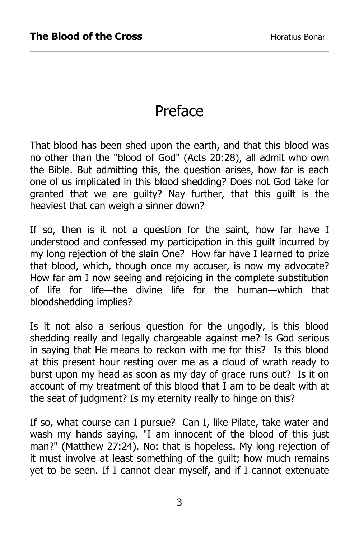#### Preface

That blood has been shed upon the earth, and that this blood was no other than the "blood of God" (Acts 20:28), all admit who own the Bible. But admitting this, the question arises, how far is each one of us implicated in this blood shedding? Does not God take for granted that we are guilty? Nay further, that this guilt is the heaviest that can weigh a sinner down?

If so, then is it not a question for the saint, how far have I understood and confessed my participation in this guilt incurred by my long rejection of the slain One? How far have I learned to prize that blood, which, though once my accuser, is now my advocate? How far am I now seeing and rejoicing in the complete substitution of life for life—the divine life for the human—which that bloodshedding implies?

Is it not also a serious question for the ungodly, is this blood shedding really and legally chargeable against me? Is God serious in saying that He means to reckon with me for this? Is this blood at this present hour resting over me as a cloud of wrath ready to burst upon my head as soon as my day of grace runs out? Is it on account of my treatment of this blood that I am to be dealt with at the seat of judgment? Is my eternity really to hinge on this?

If so, what course can I pursue? Can I, like Pilate, take water and wash my hands saying, "I am innocent of the blood of this just man?" (Matthew 27:24). No: that is hopeless. My long rejection of it must involve at least something of the guilt; how much remains yet to be seen. If I cannot clear myself, and if I cannot extenuate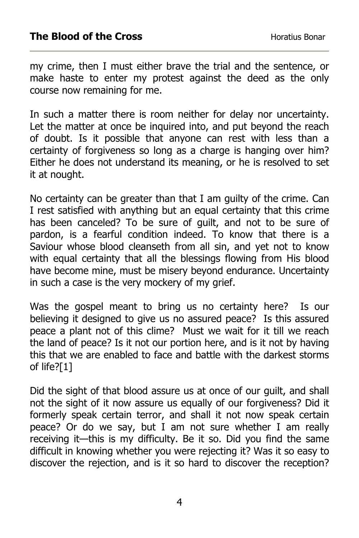my crime, then I must either brave the trial and the sentence, or make haste to enter my protest against the deed as the only course now remaining for me.

In such a matter there is room neither for delay nor uncertainty. Let the matter at once be inquired into, and put beyond the reach of doubt. Is it possible that anyone can rest with less than a certainty of forgiveness so long as a charge is hanging over him? Either he does not understand its meaning, or he is resolved to set it at nought.

No certainty can be greater than that I am guilty of the crime. Can I rest satisfied with anything but an equal certainty that this crime has been canceled? To be sure of guilt, and not to be sure of pardon, is a fearful condition indeed. To know that there is a Saviour whose blood cleanseth from all sin, and yet not to know with equal certainty that all the blessings flowing from His blood have become mine, must be misery beyond endurance. Uncertainty in such a case is the very mockery of my grief.

Was the gospel meant to bring us no certainty here? Is our believing it designed to give us no assured peace? Is this assured peace a plant not of this clime? Must we wait for it till we reach the land of peace? Is it not our portion here, and is it not by having this that we are enabled to face and battle with the darkest storms of life?[1]

Did the sight of that blood assure us at once of our guilt, and shall not the sight of it now assure us equally of our forgiveness? Did it formerly speak certain terror, and shall it not now speak certain peace? Or do we say, but I am not sure whether I am really receiving it—this is my difficulty. Be it so. Did you find the same difficult in knowing whether you were rejecting it? Was it so easy to discover the rejection, and is it so hard to discover the reception?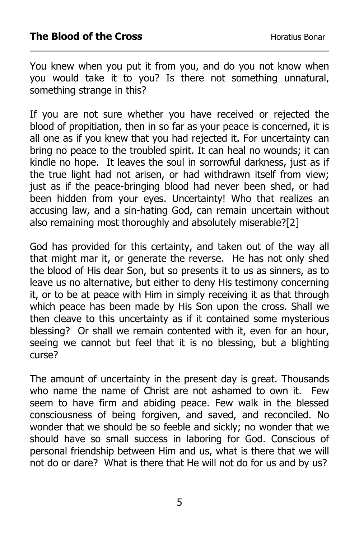You knew when you put it from you, and do you not know when you would take it to you? Is there not something unnatural, something strange in this?

If you are not sure whether you have received or rejected the blood of propitiation, then in so far as your peace is concerned, it is all one as if you knew that you had rejected it. For uncertainty can bring no peace to the troubled spirit. It can heal no wounds; it can kindle no hope. It leaves the soul in sorrowful darkness, just as if the true light had not arisen, or had withdrawn itself from view; just as if the peace-bringing blood had never been shed, or had been hidden from your eyes. Uncertainty! Who that realizes an accusing law, and a sin-hating God, can remain uncertain without also remaining most thoroughly and absolutely miserable?[2]

God has provided for this certainty, and taken out of the way all that might mar it, or generate the reverse. He has not only shed the blood of His dear Son, but so presents it to us as sinners, as to leave us no alternative, but either to deny His testimony concerning it, or to be at peace with Him in simply receiving it as that through which peace has been made by His Son upon the cross. Shall we then cleave to this uncertainty as if it contained some mysterious blessing? Or shall we remain contented with it, even for an hour, seeing we cannot but feel that it is no blessing, but a blighting curse?

The amount of uncertainty in the present day is great. Thousands who name the name of Christ are not ashamed to own it. Few seem to have firm and abiding peace. Few walk in the blessed consciousness of being forgiven, and saved, and reconciled. No wonder that we should be so feeble and sickly; no wonder that we should have so small success in laboring for God. Conscious of personal friendship between Him and us, what is there that we will not do or dare? What is there that He will not do for us and by us?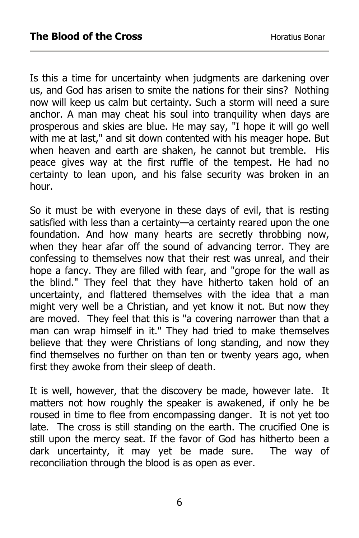Is this a time for uncertainty when judgments are darkening over us, and God has arisen to smite the nations for their sins? Nothing now will keep us calm but certainty. Such a storm will need a sure anchor. A man may cheat his soul into tranquility when days are prosperous and skies are blue. He may say, "I hope it will go well with me at last," and sit down contented with his meager hope. But when heaven and earth are shaken, he cannot but tremble. His peace gives way at the first ruffle of the tempest. He had no certainty to lean upon, and his false security was broken in an hour.

So it must be with everyone in these days of evil, that is resting satisfied with less than a certainty—a certainty reared upon the one foundation. And how many hearts are secretly throbbing now, when they hear afar off the sound of advancing terror. They are confessing to themselves now that their rest was unreal, and their hope a fancy. They are filled with fear, and "grope for the wall as the blind." They feel that they have hitherto taken hold of an uncertainty, and flattered themselves with the idea that a man might very well be a Christian, and yet know it not. But now they are moved. They feel that this is "a covering narrower than that a man can wrap himself in it." They had tried to make themselves believe that they were Christians of long standing, and now they find themselves no further on than ten or twenty years ago, when first they awoke from their sleep of death.

It is well, however, that the discovery be made, however late. It matters not how roughly the speaker is awakened, if only he be roused in time to flee from encompassing danger. It is not yet too late. The cross is still standing on the earth. The crucified One is still upon the mercy seat. If the favor of God has hitherto been a dark uncertainty, it may yet be made sure. The way of reconciliation through the blood is as open as ever.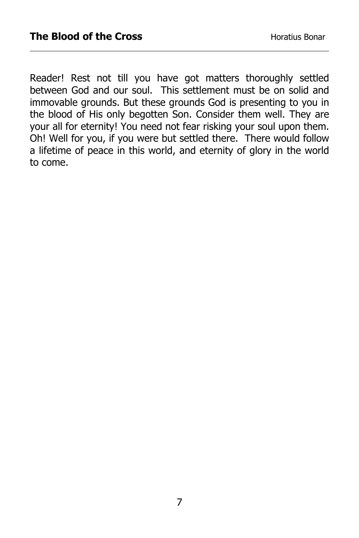Reader! Rest not till you have got matters thoroughly settled between God and our soul. This settlement must be on solid and immovable grounds. But these grounds God is presenting to you in the blood of His only begotten Son. Consider them well. They are your all for eternity! You need not fear risking your soul upon them. Oh! Well for you, if you were but settled there. There would follow a lifetime of peace in this world, and eternity of glory in the world to come.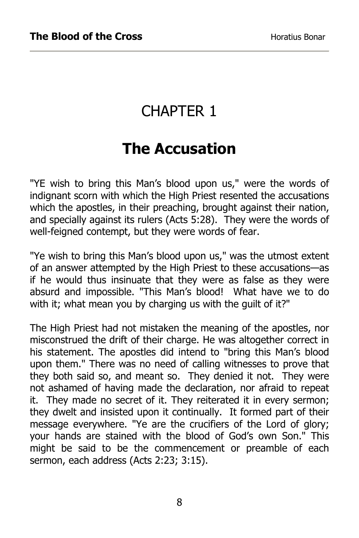## CHAPTER 1

### **The Accusation**

"YE wish to bring this Man's blood upon us," were the words of indignant scorn with which the High Priest resented the accusations which the apostles, in their preaching, brought against their nation, and specially against its rulers (Acts 5:28). They were the words of well-feigned contempt, but they were words of fear.

"Ye wish to bring this Man's blood upon us," was the utmost extent of an answer attempted by the High Priest to these accusations—as if he would thus insinuate that they were as false as they were absurd and impossible. "This Man's blood! What have we to do with it; what mean you by charging us with the guilt of it?"

The High Priest had not mistaken the meaning of the apostles, nor misconstrued the drift of their charge. He was altogether correct in his statement. The apostles did intend to "bring this Man's blood upon them." There was no need of calling witnesses to prove that they both said so, and meant so. They denied it not. They were not ashamed of having made the declaration, nor afraid to repeat it. They made no secret of it. They reiterated it in every sermon; they dwelt and insisted upon it continually. It formed part of their message everywhere. "Ye are the crucifiers of the Lord of glory; your hands are stained with the blood of God's own Son." This might be said to be the commencement or preamble of each sermon, each address (Acts 2:23; 3:15).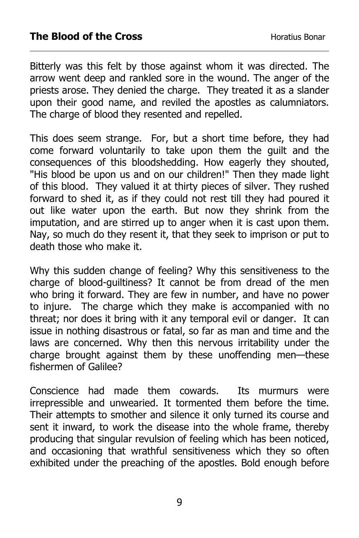Bitterly was this felt by those against whom it was directed. The arrow went deep and rankled sore in the wound. The anger of the priests arose. They denied the charge. They treated it as a slander upon their good name, and reviled the apostles as calumniators. The charge of blood they resented and repelled.

This does seem strange. For, but a short time before, they had come forward voluntarily to take upon them the guilt and the consequences of this bloodshedding. How eagerly they shouted, "His blood be upon us and on our children!" Then they made light of this blood. They valued it at thirty pieces of silver. They rushed forward to shed it, as if they could not rest till they had poured it out like water upon the earth. But now they shrink from the imputation, and are stirred up to anger when it is cast upon them. Nay, so much do they resent it, that they seek to imprison or put to death those who make it.

Why this sudden change of feeling? Why this sensitiveness to the charge of blood-guiltiness? It cannot be from dread of the men who bring it forward. They are few in number, and have no power to injure. The charge which they make is accompanied with no threat; nor does it bring with it any temporal evil or danger. It can issue in nothing disastrous or fatal, so far as man and time and the laws are concerned. Why then this nervous irritability under the charge brought against them by these unoffending men—these fishermen of Galilee?

Conscience had made them cowards. Its murmurs were irrepressible and unwearied. It tormented them before the time. Their attempts to smother and silence it only turned its course and sent it inward, to work the disease into the whole frame, thereby producing that singular revulsion of feeling which has been noticed, and occasioning that wrathful sensitiveness which they so often exhibited under the preaching of the apostles. Bold enough before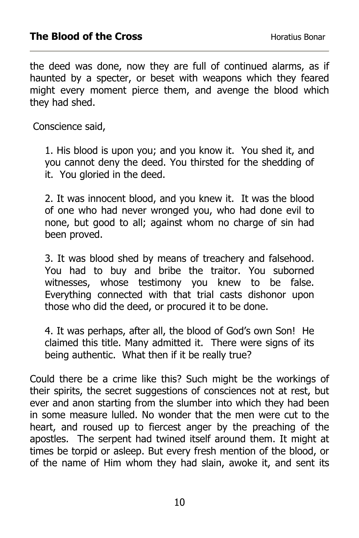the deed was done, now they are full of continued alarms, as if haunted by a specter, or beset with weapons which they feared might every moment pierce them, and avenge the blood which they had shed.

Conscience said,

1. His blood is upon you; and you know it. You shed it, and you cannot deny the deed. You thirsted for the shedding of it. You gloried in the deed.

2. It was innocent blood, and you knew it. It was the blood of one who had never wronged you, who had done evil to none, but good to all; against whom no charge of sin had been proved.

3. It was blood shed by means of treachery and falsehood. You had to buy and bribe the traitor. You suborned witnesses, whose testimony you knew to be false. Everything connected with that trial casts dishonor upon those who did the deed, or procured it to be done.

4. It was perhaps, after all, the blood of God's own Son! He claimed this title. Many admitted it. There were signs of its being authentic. What then if it be really true?

Could there be a crime like this? Such might be the workings of their spirits, the secret suggestions of consciences not at rest, but ever and anon starting from the slumber into which they had been in some measure lulled. No wonder that the men were cut to the heart, and roused up to fiercest anger by the preaching of the apostles. The serpent had twined itself around them. It might at times be torpid or asleep. But every fresh mention of the blood, or of the name of Him whom they had slain, awoke it, and sent its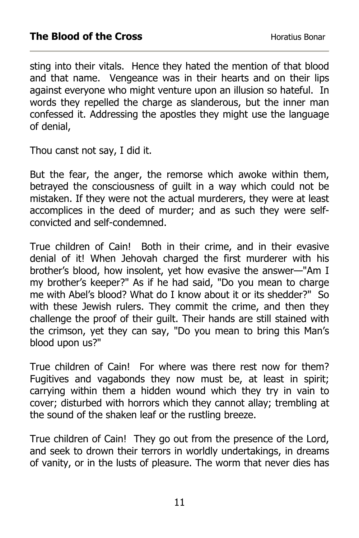sting into their vitals. Hence they hated the mention of that blood and that name. Vengeance was in their hearts and on their lips against everyone who might venture upon an illusion so hateful. In words they repelled the charge as slanderous, but the inner man confessed it. Addressing the apostles they might use the language of denial,

Thou canst not say, I did it.

But the fear, the anger, the remorse which awoke within them, betrayed the consciousness of guilt in a way which could not be mistaken. If they were not the actual murderers, they were at least accomplices in the deed of murder; and as such they were selfconvicted and self-condemned.

True children of Cain! Both in their crime, and in their evasive denial of it! When Jehovah charged the first murderer with his brother's blood, how insolent, yet how evasive the answer—"Am I my brother's keeper?" As if he had said, "Do you mean to charge me with Abel's blood? What do I know about it or its shedder?" So with these Jewish rulers. They commit the crime, and then they challenge the proof of their guilt. Their hands are still stained with the crimson, yet they can say, "Do you mean to bring this Man's blood upon us?"

True children of Cain! For where was there rest now for them? Fugitives and vagabonds they now must be, at least in spirit; carrying within them a hidden wound which they try in vain to cover; disturbed with horrors which they cannot allay; trembling at the sound of the shaken leaf or the rustling breeze.

True children of Cain! They go out from the presence of the Lord, and seek to drown their terrors in worldly undertakings, in dreams of vanity, or in the lusts of pleasure. The worm that never dies has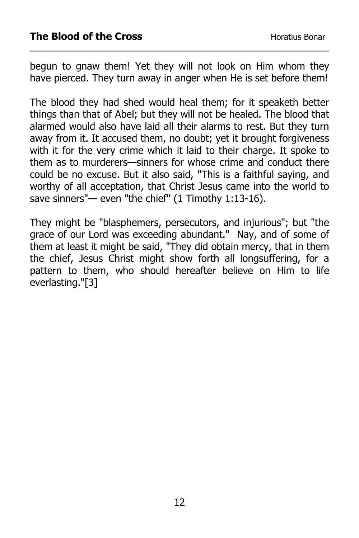begun to gnaw them! Yet they will not look on Him whom they have pierced. They turn away in anger when He is set before them!

The blood they had shed would heal them; for it speaketh better things than that of Abel; but they will not be healed. The blood that alarmed would also have laid all their alarms to rest. But they turn away from it. It accused them, no doubt; yet it brought forgiveness with it for the very crime which it laid to their charge. It spoke to them as to murderers—sinners for whose crime and conduct there could be no excuse. But it also said, "This is a faithful saying, and worthy of all acceptation, that Christ Jesus came into the world to save sinners"— even "the chief" (1 Timothy 1:13-16).

They might be "blasphemers, persecutors, and injurious"; but "the grace of our Lord was exceeding abundant." Nay, and of some of them at least it might be said, "They did obtain mercy, that in them the chief, Jesus Christ might show forth all longsuffering, for a pattern to them, who should hereafter believe on Him to life everlasting."[3]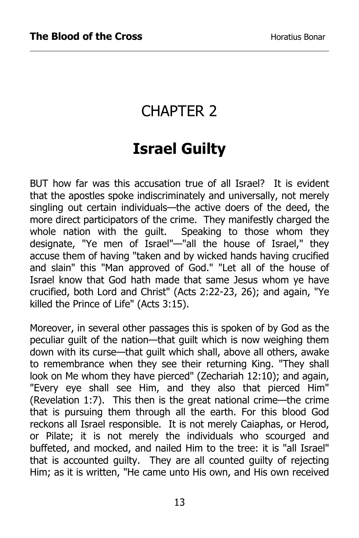# CHAPTER 2

# **Israel Guilty**

BUT how far was this accusation true of all Israel? It is evident that the apostles spoke indiscriminately and universally, not merely singling out certain individuals—the active doers of the deed, the more direct participators of the crime. They manifestly charged the whole nation with the guilt. Speaking to those whom they designate, "Ye men of Israel"—"all the house of Israel," they accuse them of having "taken and by wicked hands having crucified and slain" this "Man approved of God." "Let all of the house of Israel know that God hath made that same Jesus whom ye have crucified, both Lord and Christ" (Acts 2:22-23, 26); and again, "Ye killed the Prince of Life" (Acts 3:15).

Moreover, in several other passages this is spoken of by God as the peculiar guilt of the nation—that guilt which is now weighing them down with its curse—that guilt which shall, above all others, awake to remembrance when they see their returning King. "They shall look on Me whom they have pierced" (Zechariah 12:10); and again, "Every eye shall see Him, and they also that pierced Him" (Revelation 1:7). This then is the great national crime—the crime that is pursuing them through all the earth. For this blood God reckons all Israel responsible. It is not merely Caiaphas, or Herod, or Pilate; it is not merely the individuals who scourged and buffeted, and mocked, and nailed Him to the tree: it is "all Israel" that is accounted guilty. They are all counted guilty of rejecting Him; as it is written, "He came unto His own, and His own received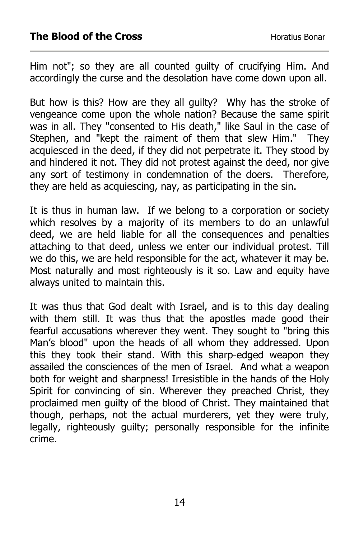Him not"; so they are all counted guilty of crucifying Him. And accordingly the curse and the desolation have come down upon all.

But how is this? How are they all guilty? Why has the stroke of vengeance come upon the whole nation? Because the same spirit was in all. They "consented to His death," like Saul in the case of Stephen, and "kept the raiment of them that slew Him." They acquiesced in the deed, if they did not perpetrate it. They stood by and hindered it not. They did not protest against the deed, nor give any sort of testimony in condemnation of the doers. Therefore, they are held as acquiescing, nay, as participating in the sin.

It is thus in human law. If we belong to a corporation or society which resolves by a majority of its members to do an unlawful deed, we are held liable for all the consequences and penalties attaching to that deed, unless we enter our individual protest. Till we do this, we are held responsible for the act, whatever it may be. Most naturally and most righteously is it so. Law and equity have always united to maintain this.

It was thus that God dealt with Israel, and is to this day dealing with them still. It was thus that the apostles made good their fearful accusations wherever they went. They sought to "bring this Man's blood" upon the heads of all whom they addressed. Upon this they took their stand. With this sharp-edged weapon they assailed the consciences of the men of Israel. And what a weapon both for weight and sharpness! Irresistible in the hands of the Holy Spirit for convincing of sin. Wherever they preached Christ, they proclaimed men guilty of the blood of Christ. They maintained that though, perhaps, not the actual murderers, yet they were truly, legally, righteously guilty; personally responsible for the infinite crime.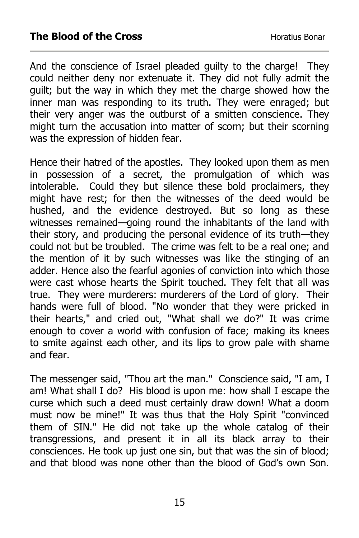And the conscience of Israel pleaded guilty to the charge! They could neither deny nor extenuate it. They did not fully admit the guilt; but the way in which they met the charge showed how the inner man was responding to its truth. They were enraged; but their very anger was the outburst of a smitten conscience. They might turn the accusation into matter of scorn; but their scorning was the expression of hidden fear.

Hence their hatred of the apostles. They looked upon them as men in possession of a secret, the promulgation of which was intolerable. Could they but silence these bold proclaimers, they might have rest; for then the witnesses of the deed would be hushed, and the evidence destroyed. But so long as these witnesses remained—going round the inhabitants of the land with their story, and producing the personal evidence of its truth—they could not but be troubled. The crime was felt to be a real one; and the mention of it by such witnesses was like the stinging of an adder. Hence also the fearful agonies of conviction into which those were cast whose hearts the Spirit touched. They felt that all was true. They were murderers: murderers of the Lord of glory. Their hands were full of blood. "No wonder that they were pricked in their hearts," and cried out, "What shall we do?" It was crime enough to cover a world with confusion of face; making its knees to smite against each other, and its lips to grow pale with shame and fear.

The messenger said, "Thou art the man." Conscience said, "I am, I am! What shall I do? His blood is upon me: how shall I escape the curse which such a deed must certainly draw down! What a doom must now be mine!" It was thus that the Holy Spirit "convinced them of SIN." He did not take up the whole catalog of their transgressions, and present it in all its black array to their consciences. He took up just one sin, but that was the sin of blood; and that blood was none other than the blood of God's own Son.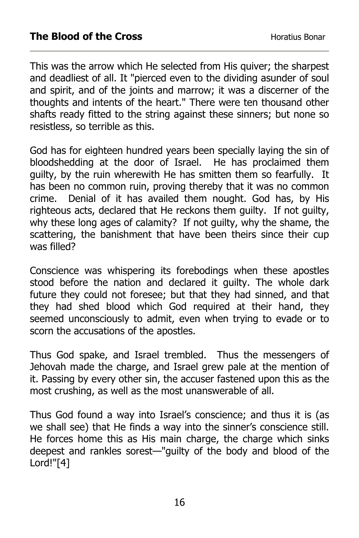This was the arrow which He selected from His quiver; the sharpest and deadliest of all. It "pierced even to the dividing asunder of soul and spirit, and of the joints and marrow; it was a discerner of the thoughts and intents of the heart." There were ten thousand other shafts ready fitted to the string against these sinners; but none so resistless, so terrible as this.

God has for eighteen hundred years been specially laying the sin of bloodshedding at the door of Israel. He has proclaimed them guilty, by the ruin wherewith He has smitten them so fearfully. It has been no common ruin, proving thereby that it was no common crime. Denial of it has availed them nought. God has, by His righteous acts, declared that He reckons them guilty. If not guilty, why these long ages of calamity? If not guilty, why the shame, the scattering, the banishment that have been theirs since their cup was filled?

Conscience was whispering its forebodings when these apostles stood before the nation and declared it guilty. The whole dark future they could not foresee; but that they had sinned, and that they had shed blood which God required at their hand, they seemed unconsciously to admit, even when trying to evade or to scorn the accusations of the apostles.

Thus God spake, and Israel trembled. Thus the messengers of Jehovah made the charge, and Israel grew pale at the mention of it. Passing by every other sin, the accuser fastened upon this as the most crushing, as well as the most unanswerable of all.

Thus God found a way into Israel's conscience; and thus it is (as we shall see) that He finds a way into the sinner's conscience still. He forces home this as His main charge, the charge which sinks deepest and rankles sorest—"guilty of the body and blood of the Lord!"[4]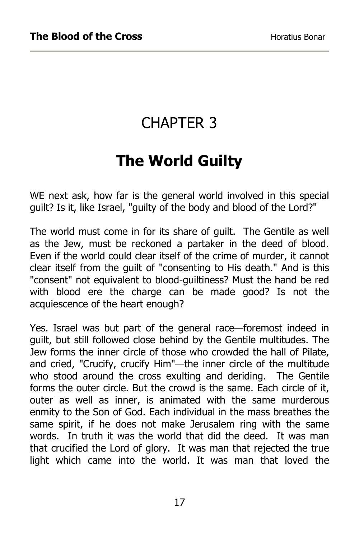# CHAPTER 3

# **The World Guilty**

WE next ask, how far is the general world involved in this special guilt? Is it, like Israel, "guilty of the body and blood of the Lord?"

The world must come in for its share of guilt. The Gentile as well as the Jew, must be reckoned a partaker in the deed of blood. Even if the world could clear itself of the crime of murder, it cannot clear itself from the guilt of "consenting to His death." And is this "consent" not equivalent to blood-guiltiness? Must the hand be red with blood ere the charge can be made good? Is not the acquiescence of the heart enough?

Yes. Israel was but part of the general race—foremost indeed in guilt, but still followed close behind by the Gentile multitudes. The Jew forms the inner circle of those who crowded the hall of Pilate, and cried, "Crucify, crucify Him"—the inner circle of the multitude who stood around the cross exulting and deriding. The Gentile forms the outer circle. But the crowd is the same. Each circle of it, outer as well as inner, is animated with the same murderous enmity to the Son of God. Each individual in the mass breathes the same spirit, if he does not make Jerusalem ring with the same words. In truth it was the world that did the deed. It was man that crucified the Lord of glory. It was man that rejected the true light which came into the world. It was man that loved the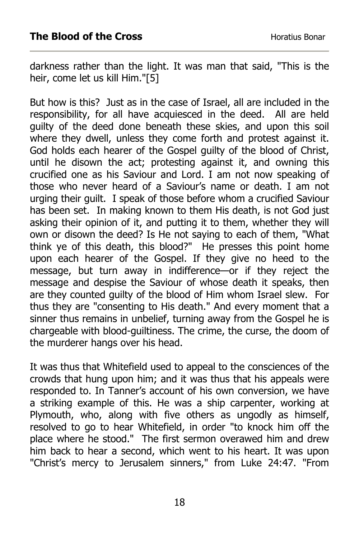darkness rather than the light. It was man that said, "This is the heir, come let us kill Him."[5]

But how is this? Just as in the case of Israel, all are included in the responsibility, for all have acquiesced in the deed. All are held guilty of the deed done beneath these skies, and upon this soil where they dwell, unless they come forth and protest against it. God holds each hearer of the Gospel guilty of the blood of Christ, until he disown the act; protesting against it, and owning this crucified one as his Saviour and Lord. I am not now speaking of those who never heard of a Saviour's name or death. I am not urging their guilt. I speak of those before whom a crucified Saviour has been set. In making known to them His death, is not God just asking their opinion of it, and putting it to them, whether they will own or disown the deed? Is He not saying to each of them, "What think ye of this death, this blood?" He presses this point home upon each hearer of the Gospel. If they give no heed to the message, but turn away in indifference—or if they reject the message and despise the Saviour of whose death it speaks, then are they counted guilty of the blood of Him whom Israel slew. For thus they are "consenting to His death." And every moment that a sinner thus remains in unbelief, turning away from the Gospel he is chargeable with blood-guiltiness. The crime, the curse, the doom of the murderer hangs over his head.

It was thus that Whitefield used to appeal to the consciences of the crowds that hung upon him; and it was thus that his appeals were responded to. In Tanner's account of his own conversion, we have a striking example of this. He was a ship carpenter, working at Plymouth, who, along with five others as ungodly as himself, resolved to go to hear Whitefield, in order "to knock him off the place where he stood." The first sermon overawed him and drew him back to hear a second, which went to his heart. It was upon "Christ's mercy to Jerusalem sinners," from Luke 24:47. "From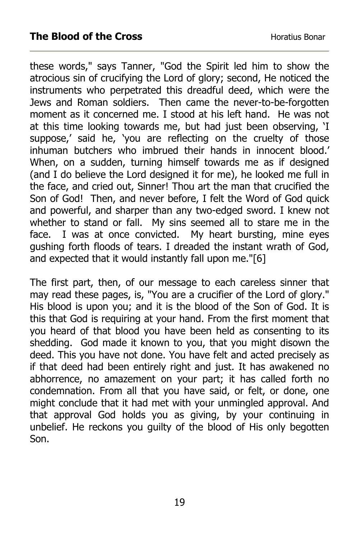these words," says Tanner, "God the Spirit led him to show the atrocious sin of crucifying the Lord of glory; second, He noticed the instruments who perpetrated this dreadful deed, which were the Jews and Roman soldiers. Then came the never-to-be-forgotten moment as it concerned me. I stood at his left hand. He was not at this time looking towards me, but had just been observing, 'I suppose,' said he, 'you are reflecting on the cruelty of those inhuman butchers who imbrued their hands in innocent blood.' When, on a sudden, turning himself towards me as if designed (and I do believe the Lord designed it for me), he looked me full in the face, and cried out, Sinner! Thou art the man that crucified the Son of God! Then, and never before, I felt the Word of God quick and powerful, and sharper than any two-edged sword. I knew not whether to stand or fall. My sins seemed all to stare me in the face. I was at once convicted. My heart bursting, mine eyes gushing forth floods of tears. I dreaded the instant wrath of God, and expected that it would instantly fall upon me."[6]

The first part, then, of our message to each careless sinner that may read these pages, is, "You are a crucifier of the Lord of glory." His blood is upon you; and it is the blood of the Son of God. It is this that God is requiring at your hand. From the first moment that you heard of that blood you have been held as consenting to its shedding. God made it known to you, that you might disown the deed. This you have not done. You have felt and acted precisely as if that deed had been entirely right and just. It has awakened no abhorrence, no amazement on your part; it has called forth no condemnation. From all that you have said, or felt, or done, one might conclude that it had met with your unmingled approval. And that approval God holds you as giving, by your continuing in unbelief. He reckons you guilty of the blood of His only begotten Son.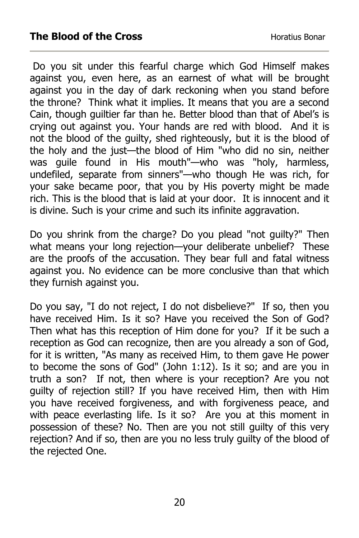Do you sit under this fearful charge which God Himself makes against you, even here, as an earnest of what will be brought against you in the day of dark reckoning when you stand before the throne? Think what it implies. It means that you are a second Cain, though guiltier far than he. Better blood than that of Abel's is crying out against you. Your hands are red with blood. And it is not the blood of the guilty, shed righteously, but it is the blood of the holy and the just—the blood of Him "who did no sin, neither was guile found in His mouth"—who was "holy, harmless, undefiled, separate from sinners"—who though He was rich, for your sake became poor, that you by His poverty might be made rich. This is the blood that is laid at your door. It is innocent and it is divine. Such is your crime and such its infinite aggravation.

Do you shrink from the charge? Do you plead "not guilty?" Then what means your long rejection—your deliberate unbelief? These are the proofs of the accusation. They bear full and fatal witness against you. No evidence can be more conclusive than that which they furnish against you.

Do you say, "I do not reject, I do not disbelieve?" If so, then you have received Him. Is it so? Have you received the Son of God? Then what has this reception of Him done for you? If it be such a reception as God can recognize, then are you already a son of God, for it is written, "As many as received Him, to them gave He power to become the sons of God" (John 1:12). Is it so; and are you in truth a son? If not, then where is your reception? Are you not guilty of rejection still? If you have received Him, then with Him you have received forgiveness, and with forgiveness peace, and with peace everlasting life. Is it so? Are you at this moment in possession of these? No. Then are you not still guilty of this very rejection? And if so, then are you no less truly guilty of the blood of the rejected One.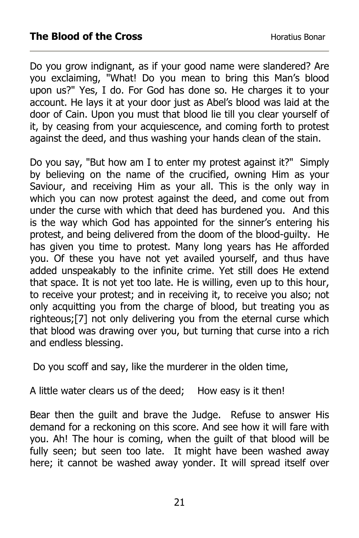Do you grow indignant, as if your good name were slandered? Are you exclaiming, "What! Do you mean to bring this Man's blood upon us?" Yes, I do. For God has done so. He charges it to your account. He lays it at your door just as Abel's blood was laid at the door of Cain. Upon you must that blood lie till you clear yourself of it, by ceasing from your acquiescence, and coming forth to protest against the deed, and thus washing your hands clean of the stain.

Do you say, "But how am I to enter my protest against it?" Simply by believing on the name of the crucified, owning Him as your Saviour, and receiving Him as your all. This is the only way in which you can now protest against the deed, and come out from under the curse with which that deed has burdened you. And this is the way which God has appointed for the sinner's entering his protest, and being delivered from the doom of the blood-guilty. He has given you time to protest. Many long years has He afforded you. Of these you have not yet availed yourself, and thus have added unspeakably to the infinite crime. Yet still does He extend that space. It is not yet too late. He is willing, even up to this hour, to receive your protest; and in receiving it, to receive you also; not only acquitting you from the charge of blood, but treating you as righteous;[7] not only delivering you from the eternal curse which that blood was drawing over you, but turning that curse into a rich and endless blessing.

Do you scoff and say, like the murderer in the olden time,

A little water clears us of the deed; How easy is it then!

Bear then the guilt and brave the Judge. Refuse to answer His demand for a reckoning on this score. And see how it will fare with you. Ah! The hour is coming, when the guilt of that blood will be fully seen; but seen too late. It might have been washed away here; it cannot be washed away yonder. It will spread itself over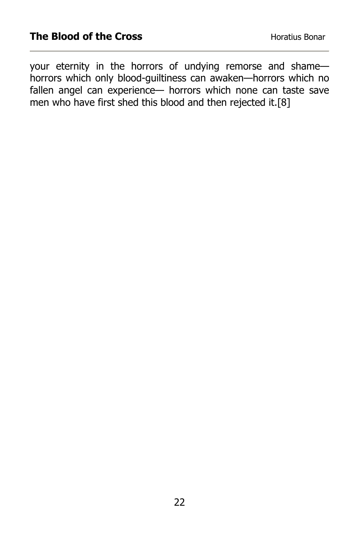your eternity in the horrors of undying remorse and shame horrors which only blood-guiltiness can awaken—horrors which no fallen angel can experience— horrors which none can taste save men who have first shed this blood and then rejected it.[8]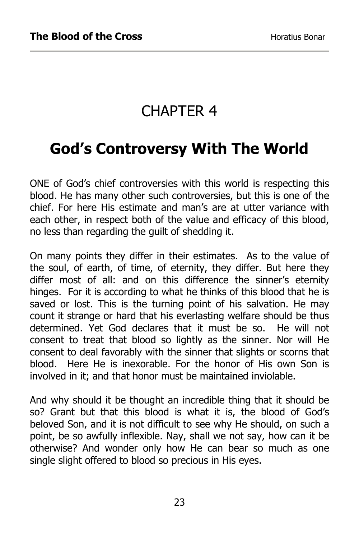## CHAPTER 4

### **God's Controversy With The World**

ONE of God's chief controversies with this world is respecting this blood. He has many other such controversies, but this is one of the chief. For here His estimate and man's are at utter variance with each other, in respect both of the value and efficacy of this blood, no less than regarding the guilt of shedding it.

On many points they differ in their estimates. As to the value of the soul, of earth, of time, of eternity, they differ. But here they differ most of all: and on this difference the sinner's eternity hinges. For it is according to what he thinks of this blood that he is saved or lost. This is the turning point of his salvation. He may count it strange or hard that his everlasting welfare should be thus determined. Yet God declares that it must be so. He will not consent to treat that blood so lightly as the sinner. Nor will He consent to deal favorably with the sinner that slights or scorns that blood. Here He is inexorable. For the honor of His own Son is involved in it; and that honor must be maintained inviolable.

And why should it be thought an incredible thing that it should be so? Grant but that this blood is what it is, the blood of God's beloved Son, and it is not difficult to see why He should, on such a point, be so awfully inflexible. Nay, shall we not say, how can it be otherwise? And wonder only how He can bear so much as one single slight offered to blood so precious in His eyes.

23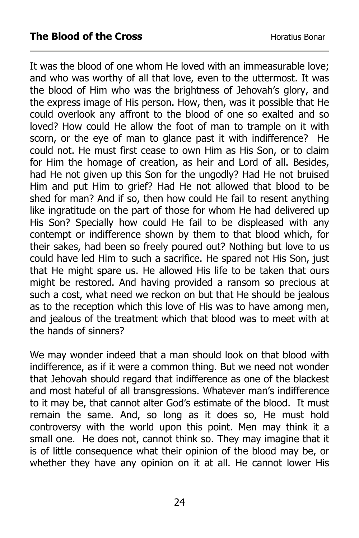It was the blood of one whom He loved with an immeasurable love; and who was worthy of all that love, even to the uttermost. It was the blood of Him who was the brightness of Jehovah's glory, and the express image of His person. How, then, was it possible that He could overlook any affront to the blood of one so exalted and so loved? How could He allow the foot of man to trample on it with scorn, or the eye of man to glance past it with indifference? He could not. He must first cease to own Him as His Son, or to claim for Him the homage of creation, as heir and Lord of all. Besides, had He not given up this Son for the ungodly? Had He not bruised Him and put Him to grief? Had He not allowed that blood to be shed for man? And if so, then how could He fail to resent anything like ingratitude on the part of those for whom He had delivered up His Son? Specially how could He fail to be displeased with any contempt or indifference shown by them to that blood which, for their sakes, had been so freely poured out? Nothing but love to us could have led Him to such a sacrifice. He spared not His Son, just that He might spare us. He allowed His life to be taken that ours might be restored. And having provided a ransom so precious at such a cost, what need we reckon on but that He should be jealous as to the reception which this love of His was to have among men, and jealous of the treatment which that blood was to meet with at the hands of sinners?

We may wonder indeed that a man should look on that blood with indifference, as if it were a common thing. But we need not wonder that Jehovah should regard that indifference as one of the blackest and most hateful of all transgressions. Whatever man's indifference to it may be, that cannot alter God's estimate of the blood. It must remain the same. And, so long as it does so, He must hold controversy with the world upon this point. Men may think it a small one. He does not, cannot think so. They may imagine that it is of little consequence what their opinion of the blood may be, or whether they have any opinion on it at all. He cannot lower His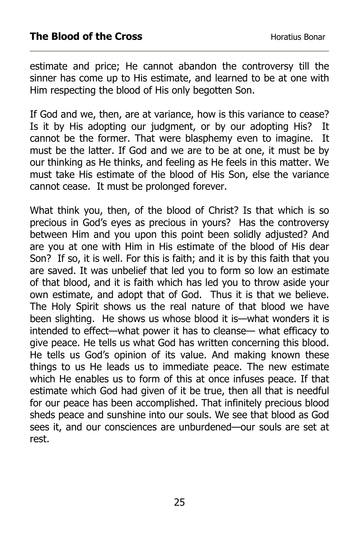estimate and price; He cannot abandon the controversy till the sinner has come up to His estimate, and learned to be at one with Him respecting the blood of His only begotten Son.

If God and we, then, are at variance, how is this variance to cease? Is it by His adopting our judgment, or by our adopting His? It cannot be the former. That were blasphemy even to imagine. It must be the latter. If God and we are to be at one, it must be by our thinking as He thinks, and feeling as He feels in this matter. We must take His estimate of the blood of His Son, else the variance cannot cease. It must be prolonged forever.

What think you, then, of the blood of Christ? Is that which is so precious in God's eyes as precious in yours? Has the controversy between Him and you upon this point been solidly adjusted? And are you at one with Him in His estimate of the blood of His dear Son? If so, it is well. For this is faith; and it is by this faith that you are saved. It was unbelief that led you to form so low an estimate of that blood, and it is faith which has led you to throw aside your own estimate, and adopt that of God. Thus it is that we believe. The Holy Spirit shows us the real nature of that blood we have been slighting. He shows us whose blood it is—what wonders it is intended to effect—what power it has to cleanse— what efficacy to give peace. He tells us what God has written concerning this blood. He tells us God's opinion of its value. And making known these things to us He leads us to immediate peace. The new estimate which He enables us to form of this at once infuses peace. If that estimate which God had given of it be true, then all that is needful for our peace has been accomplished. That infinitely precious blood sheds peace and sunshine into our souls. We see that blood as God sees it, and our consciences are unburdened—our souls are set at rest.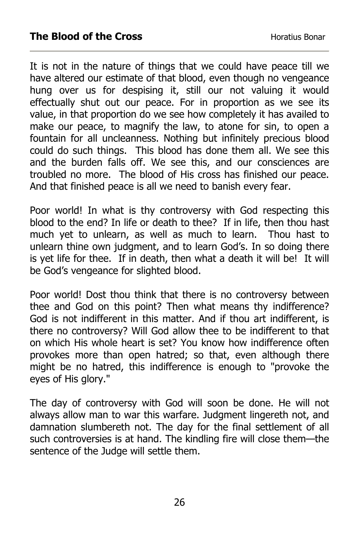It is not in the nature of things that we could have peace till we have altered our estimate of that blood, even though no vengeance hung over us for despising it, still our not valuing it would effectually shut out our peace. For in proportion as we see its value, in that proportion do we see how completely it has availed to make our peace, to magnify the law, to atone for sin, to open a fountain for all uncleanness. Nothing but infinitely precious blood could do such things. This blood has done them all. We see this and the burden falls off. We see this, and our consciences are troubled no more. The blood of His cross has finished our peace. And that finished peace is all we need to banish every fear.

Poor world! In what is thy controversy with God respecting this blood to the end? In life or death to thee? If in life, then thou hast much yet to unlearn, as well as much to learn. Thou hast to unlearn thine own judgment, and to learn God's. In so doing there is yet life for thee. If in death, then what a death it will be! It will be God's vengeance for slighted blood.

Poor world! Dost thou think that there is no controversy between thee and God on this point? Then what means thy indifference? God is not indifferent in this matter. And if thou art indifferent, is there no controversy? Will God allow thee to be indifferent to that on which His whole heart is set? You know how indifference often provokes more than open hatred; so that, even although there might be no hatred, this indifference is enough to "provoke the eyes of His glory."

The day of controversy with God will soon be done. He will not always allow man to war this warfare. Judgment lingereth not, and damnation slumbereth not. The day for the final settlement of all such controversies is at hand. The kindling fire will close them—the sentence of the Judge will settle them.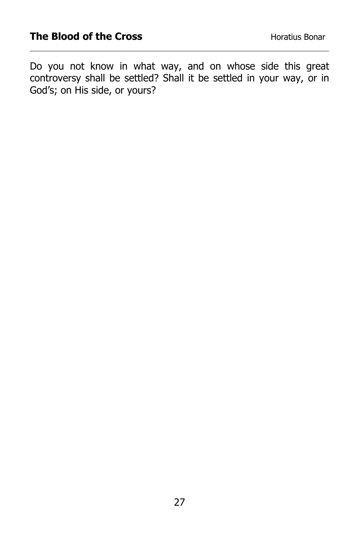Do you not know in what way, and on whose side this great controversy shall be settled? Shall it be settled in your way, or in God's; on His side, or yours?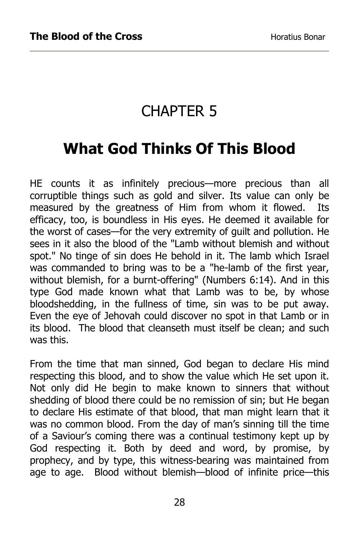### CHAPTER 5

#### **What God Thinks Of This Blood**

HE counts it as infinitely precious—more precious than all corruptible things such as gold and silver. Its value can only be measured by the greatness of Him from whom it flowed. Its efficacy, too, is boundless in His eyes. He deemed it available for the worst of cases—for the very extremity of guilt and pollution. He sees in it also the blood of the "Lamb without blemish and without spot." No tinge of sin does He behold in it. The lamb which Israel was commanded to bring was to be a "he-lamb of the first year, without blemish, for a burnt-offering" (Numbers 6:14). And in this type God made known what that Lamb was to be, by whose bloodshedding, in the fullness of time, sin was to be put away. Even the eye of Jehovah could discover no spot in that Lamb or in its blood. The blood that cleanseth must itself be clean; and such was this.

From the time that man sinned, God began to declare His mind respecting this blood, and to show the value which He set upon it. Not only did He begin to make known to sinners that without shedding of blood there could be no remission of sin; but He began to declare His estimate of that blood, that man might learn that it was no common blood. From the day of man's sinning till the time of a Saviour's coming there was a continual testimony kept up by God respecting it. Both by deed and word, by promise, by prophecy, and by type, this witness-bearing was maintained from age to age. Blood without blemish—blood of infinite price—this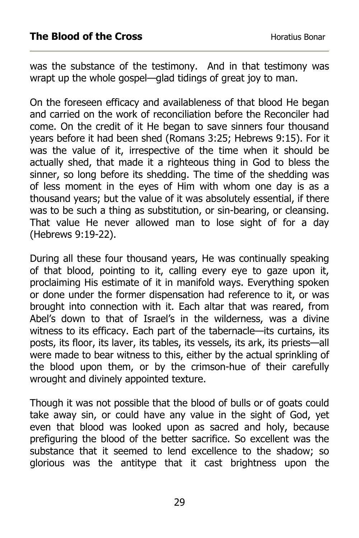was the substance of the testimony. And in that testimony was wrapt up the whole gospel—glad tidings of great joy to man.

On the foreseen efficacy and availableness of that blood He began and carried on the work of reconciliation before the Reconciler had come. On the credit of it He began to save sinners four thousand years before it had been shed (Romans 3:25; Hebrews 9:15). For it was the value of it, irrespective of the time when it should be actually shed, that made it a righteous thing in God to bless the sinner, so long before its shedding. The time of the shedding was of less moment in the eyes of Him with whom one day is as a thousand years; but the value of it was absolutely essential, if there was to be such a thing as substitution, or sin-bearing, or cleansing. That value He never allowed man to lose sight of for a day (Hebrews 9:19-22).

During all these four thousand years, He was continually speaking of that blood, pointing to it, calling every eye to gaze upon it, proclaiming His estimate of it in manifold ways. Everything spoken or done under the former dispensation had reference to it, or was brought into connection with it. Each altar that was reared, from Abel's down to that of Israel's in the wilderness, was a divine witness to its efficacy. Each part of the tabernacle—its curtains, its posts, its floor, its laver, its tables, its vessels, its ark, its priests—all were made to bear witness to this, either by the actual sprinkling of the blood upon them, or by the crimson-hue of their carefully wrought and divinely appointed texture.

Though it was not possible that the blood of bulls or of goats could take away sin, or could have any value in the sight of God, yet even that blood was looked upon as sacred and holy, because prefiguring the blood of the better sacrifice. So excellent was the substance that it seemed to lend excellence to the shadow; so glorious was the antitype that it cast brightness upon the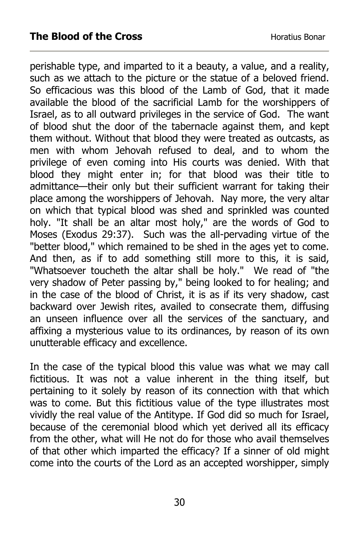perishable type, and imparted to it a beauty, a value, and a reality, such as we attach to the picture or the statue of a beloved friend. So efficacious was this blood of the Lamb of God, that it made available the blood of the sacrificial Lamb for the worshippers of Israel, as to all outward privileges in the service of God. The want of blood shut the door of the tabernacle against them, and kept them without. Without that blood they were treated as outcasts, as men with whom Jehovah refused to deal, and to whom the privilege of even coming into His courts was denied. With that blood they might enter in; for that blood was their title to admittance—their only but their sufficient warrant for taking their place among the worshippers of Jehovah. Nay more, the very altar on which that typical blood was shed and sprinkled was counted holy. "It shall be an altar most holy," are the words of God to Moses (Exodus 29:37). Such was the all-pervading virtue of the "better blood," which remained to be shed in the ages yet to come. And then, as if to add something still more to this, it is said, "Whatsoever toucheth the altar shall be holy." We read of "the very shadow of Peter passing by," being looked to for healing; and in the case of the blood of Christ, it is as if its very shadow, cast backward over Jewish rites, availed to consecrate them, diffusing an unseen influence over all the services of the sanctuary, and affixing a mysterious value to its ordinances, by reason of its own unutterable efficacy and excellence.

In the case of the typical blood this value was what we may call fictitious. It was not a value inherent in the thing itself, but pertaining to it solely by reason of its connection with that which was to come. But this fictitious value of the type illustrates most vividly the real value of the Antitype. If God did so much for Israel, because of the ceremonial blood which yet derived all its efficacy from the other, what will He not do for those who avail themselves of that other which imparted the efficacy? If a sinner of old might come into the courts of the Lord as an accepted worshipper, simply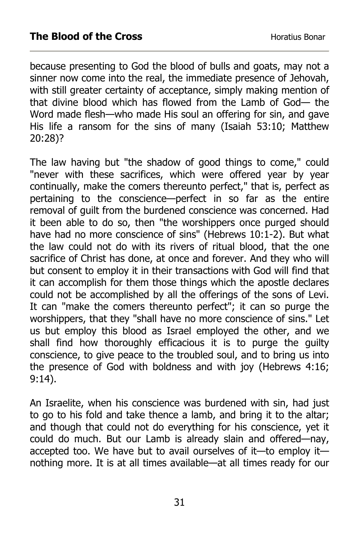because presenting to God the blood of bulls and goats, may not a sinner now come into the real, the immediate presence of Jehovah, with still greater certainty of acceptance, simply making mention of that divine blood which has flowed from the Lamb of God— the Word made flesh—who made His soul an offering for sin, and gave His life a ransom for the sins of many (Isaiah 53:10; Matthew 20:28)?

The law having but "the shadow of good things to come," could "never with these sacrifices, which were offered year by year continually, make the comers thereunto perfect," that is, perfect as pertaining to the conscience—perfect in so far as the entire removal of guilt from the burdened conscience was concerned. Had it been able to do so, then "the worshippers once purged should have had no more conscience of sins" (Hebrews 10:1-2). But what the law could not do with its rivers of ritual blood, that the one sacrifice of Christ has done, at once and forever. And they who will but consent to employ it in their transactions with God will find that it can accomplish for them those things which the apostle declares could not be accomplished by all the offerings of the sons of Levi. It can "make the comers thereunto perfect"; it can so purge the worshippers, that they "shall have no more conscience of sins." Let us but employ this blood as Israel employed the other, and we shall find how thoroughly efficacious it is to purge the guilty conscience, to give peace to the troubled soul, and to bring us into the presence of God with boldness and with joy (Hebrews 4:16; 9:14).

An Israelite, when his conscience was burdened with sin, had just to go to his fold and take thence a lamb, and bring it to the altar; and though that could not do everything for his conscience, yet it could do much. But our Lamb is already slain and offered—nay, accepted too. We have but to avail ourselves of it—to employ it nothing more. It is at all times available—at all times ready for our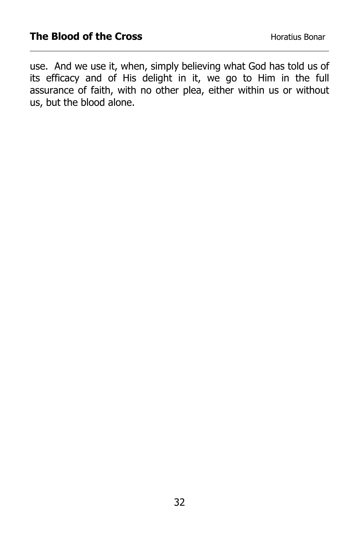use. And we use it, when, simply believing what God has told us of its efficacy and of His delight in it, we go to Him in the full assurance of faith, with no other plea, either within us or without us, but the blood alone.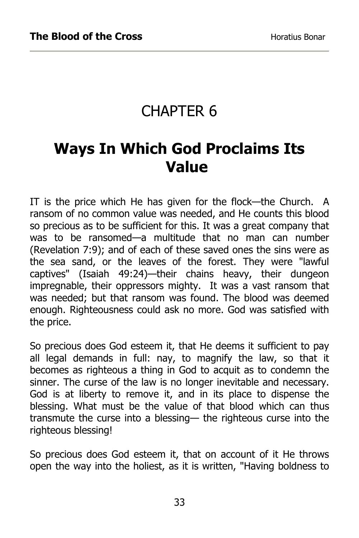#### CHAPTER 6

## **Ways In Which God Proclaims Its Value**

IT is the price which He has given for the flock—the Church. A ransom of no common value was needed, and He counts this blood so precious as to be sufficient for this. It was a great company that was to be ransomed—a multitude that no man can number (Revelation 7:9); and of each of these saved ones the sins were as the sea sand, or the leaves of the forest. They were "lawful captives" (Isaiah 49:24)—their chains heavy, their dungeon impregnable, their oppressors mighty. It was a vast ransom that was needed; but that ransom was found. The blood was deemed enough. Righteousness could ask no more. God was satisfied with the price.

So precious does God esteem it, that He deems it sufficient to pay all legal demands in full: nay, to magnify the law, so that it becomes as righteous a thing in God to acquit as to condemn the sinner. The curse of the law is no longer inevitable and necessary. God is at liberty to remove it, and in its place to dispense the blessing. What must be the value of that blood which can thus transmute the curse into a blessing— the righteous curse into the righteous blessing!

So precious does God esteem it, that on account of it He throws open the way into the holiest, as it is written, "Having boldness to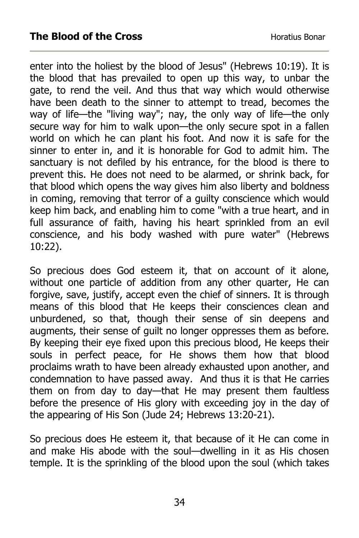enter into the holiest by the blood of Jesus" (Hebrews 10:19). It is the blood that has prevailed to open up this way, to unbar the gate, to rend the veil. And thus that way which would otherwise have been death to the sinner to attempt to tread, becomes the way of life—the "living way"; nay, the only way of life—the only secure way for him to walk upon—the only secure spot in a fallen world on which he can plant his foot. And now it is safe for the sinner to enter in, and it is honorable for God to admit him. The sanctuary is not defiled by his entrance, for the blood is there to prevent this. He does not need to be alarmed, or shrink back, for that blood which opens the way gives him also liberty and boldness in coming, removing that terror of a guilty conscience which would keep him back, and enabling him to come "with a true heart, and in full assurance of faith, having his heart sprinkled from an evil conscience, and his body washed with pure water" (Hebrews 10:22).

So precious does God esteem it, that on account of it alone, without one particle of addition from any other quarter, He can forgive, save, justify, accept even the chief of sinners. It is through means of this blood that He keeps their consciences clean and unburdened, so that, though their sense of sin deepens and augments, their sense of guilt no longer oppresses them as before. By keeping their eye fixed upon this precious blood, He keeps their souls in perfect peace, for He shows them how that blood proclaims wrath to have been already exhausted upon another, and condemnation to have passed away. And thus it is that He carries them on from day to day—that He may present them faultless before the presence of His glory with exceeding joy in the day of the appearing of His Son (Jude 24; Hebrews 13:20-21).

So precious does He esteem it, that because of it He can come in and make His abode with the soul—dwelling in it as His chosen temple. It is the sprinkling of the blood upon the soul (which takes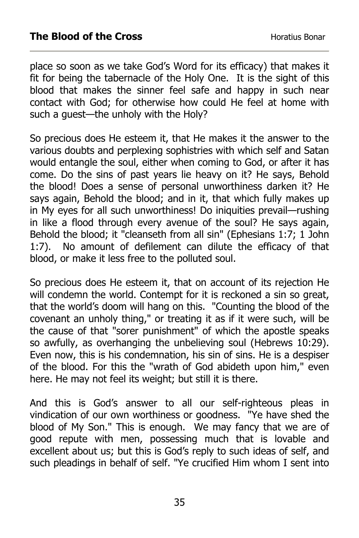place so soon as we take God's Word for its efficacy) that makes it fit for being the tabernacle of the Holy One. It is the sight of this blood that makes the sinner feel safe and happy in such near contact with God; for otherwise how could He feel at home with such a guest—the unholy with the Holy?

So precious does He esteem it, that He makes it the answer to the various doubts and perplexing sophistries with which self and Satan would entangle the soul, either when coming to God, or after it has come. Do the sins of past years lie heavy on it? He says, Behold the blood! Does a sense of personal unworthiness darken it? He says again, Behold the blood; and in it, that which fully makes up in My eyes for all such unworthiness! Do iniquities prevail—rushing in like a flood through every avenue of the soul? He says again, Behold the blood; it "cleanseth from all sin" (Ephesians 1:7; 1 John 1:7). No amount of defilement can dilute the efficacy of that blood, or make it less free to the polluted soul.

So precious does He esteem it, that on account of its rejection He will condemn the world. Contempt for it is reckoned a sin so great, that the world's doom will hang on this. "Counting the blood of the covenant an unholy thing," or treating it as if it were such, will be the cause of that "sorer punishment" of which the apostle speaks so awfully, as overhanging the unbelieving soul (Hebrews 10:29). Even now, this is his condemnation, his sin of sins. He is a despiser of the blood. For this the "wrath of God abideth upon him," even here. He may not feel its weight; but still it is there.

And this is God's answer to all our self-righteous pleas in vindication of our own worthiness or goodness. "Ye have shed the blood of My Son." This is enough. We may fancy that we are of good repute with men, possessing much that is lovable and excellent about us; but this is God's reply to such ideas of self, and such pleadings in behalf of self. "Ye crucified Him whom I sent into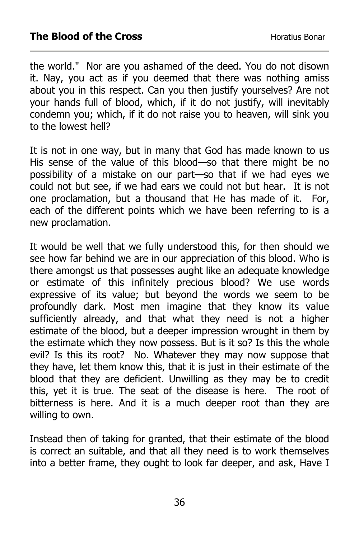the world." Nor are you ashamed of the deed. You do not disown it. Nay, you act as if you deemed that there was nothing amiss about you in this respect. Can you then justify yourselves? Are not your hands full of blood, which, if it do not justify, will inevitably condemn you; which, if it do not raise you to heaven, will sink you to the lowest hell?

It is not in one way, but in many that God has made known to us His sense of the value of this blood—so that there might be no possibility of a mistake on our part—so that if we had eyes we could not but see, if we had ears we could not but hear. It is not one proclamation, but a thousand that He has made of it. For, each of the different points which we have been referring to is a new proclamation.

It would be well that we fully understood this, for then should we see how far behind we are in our appreciation of this blood. Who is there amongst us that possesses aught like an adequate knowledge or estimate of this infinitely precious blood? We use words expressive of its value; but beyond the words we seem to be profoundly dark. Most men imagine that they know its value sufficiently already, and that what they need is not a higher estimate of the blood, but a deeper impression wrought in them by the estimate which they now possess. But is it so? Is this the whole evil? Is this its root? No. Whatever they may now suppose that they have, let them know this, that it is just in their estimate of the blood that they are deficient. Unwilling as they may be to credit this, yet it is true. The seat of the disease is here. The root of bitterness is here. And it is a much deeper root than they are willing to own.

Instead then of taking for granted, that their estimate of the blood is correct an suitable, and that all they need is to work themselves into a better frame, they ought to look far deeper, and ask, Have I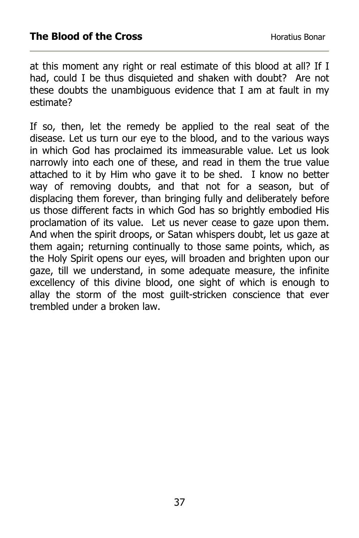at this moment any right or real estimate of this blood at all? If I had, could I be thus disquieted and shaken with doubt? Are not these doubts the unambiguous evidence that I am at fault in my estimate?

If so, then, let the remedy be applied to the real seat of the disease. Let us turn our eye to the blood, and to the various ways in which God has proclaimed its immeasurable value. Let us look narrowly into each one of these, and read in them the true value attached to it by Him who gave it to be shed. I know no better way of removing doubts, and that not for a season, but of displacing them forever, than bringing fully and deliberately before us those different facts in which God has so brightly embodied His proclamation of its value. Let us never cease to gaze upon them. And when the spirit droops, or Satan whispers doubt, let us gaze at them again; returning continually to those same points, which, as the Holy Spirit opens our eyes, will broaden and brighten upon our gaze, till we understand, in some adequate measure, the infinite excellency of this divine blood, one sight of which is enough to allay the storm of the most guilt-stricken conscience that ever trembled under a broken law.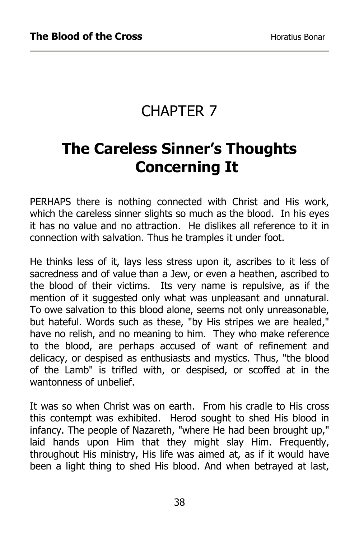## CHAPTER 7

# **The Careless Sinner's Thoughts Concerning It**

PERHAPS there is nothing connected with Christ and His work, which the careless sinner slights so much as the blood. In his eyes it has no value and no attraction. He dislikes all reference to it in connection with salvation. Thus he tramples it under foot.

He thinks less of it, lays less stress upon it, ascribes to it less of sacredness and of value than a Jew, or even a heathen, ascribed to the blood of their victims. Its very name is repulsive, as if the mention of it suggested only what was unpleasant and unnatural. To owe salvation to this blood alone, seems not only unreasonable, but hateful. Words such as these, "by His stripes we are healed," have no relish, and no meaning to him. They who make reference to the blood, are perhaps accused of want of refinement and delicacy, or despised as enthusiasts and mystics. Thus, "the blood of the Lamb" is trifled with, or despised, or scoffed at in the wantonness of unbelief.

It was so when Christ was on earth. From his cradle to His cross this contempt was exhibited. Herod sought to shed His blood in infancy. The people of Nazareth, "where He had been brought up," laid hands upon Him that they might slay Him. Frequently, throughout His ministry, His life was aimed at, as if it would have been a light thing to shed His blood. And when betrayed at last,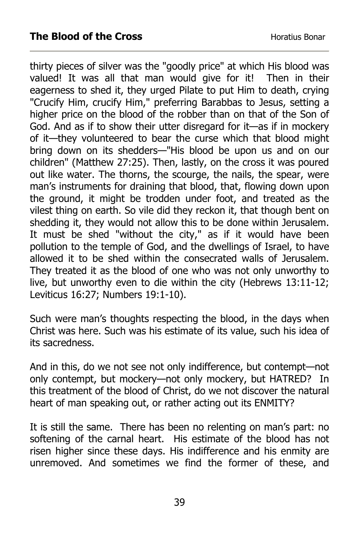thirty pieces of silver was the "goodly price" at which His blood was valued! It was all that man would give for it! Then in their eagerness to shed it, they urged Pilate to put Him to death, crying "Crucify Him, crucify Him," preferring Barabbas to Jesus, setting a higher price on the blood of the robber than on that of the Son of God. And as if to show their utter disregard for it—as if in mockery of it—they volunteered to bear the curse which that blood might bring down on its shedders—"His blood be upon us and on our children" (Matthew 27:25). Then, lastly, on the cross it was poured out like water. The thorns, the scourge, the nails, the spear, were man's instruments for draining that blood, that, flowing down upon the ground, it might be trodden under foot, and treated as the vilest thing on earth. So vile did they reckon it, that though bent on shedding it, they would not allow this to be done within Jerusalem. It must be shed "without the city," as if it would have been pollution to the temple of God, and the dwellings of Israel, to have allowed it to be shed within the consecrated walls of Jerusalem. They treated it as the blood of one who was not only unworthy to live, but unworthy even to die within the city (Hebrews 13:11-12; Leviticus 16:27; Numbers 19:1-10).

Such were man's thoughts respecting the blood, in the days when Christ was here. Such was his estimate of its value, such his idea of its sacredness.

And in this, do we not see not only indifference, but contempt—not only contempt, but mockery—not only mockery, but HATRED? In this treatment of the blood of Christ, do we not discover the natural heart of man speaking out, or rather acting out its ENMITY?

It is still the same. There has been no relenting on man's part: no softening of the carnal heart. His estimate of the blood has not risen higher since these days. His indifference and his enmity are unremoved. And sometimes we find the former of these, and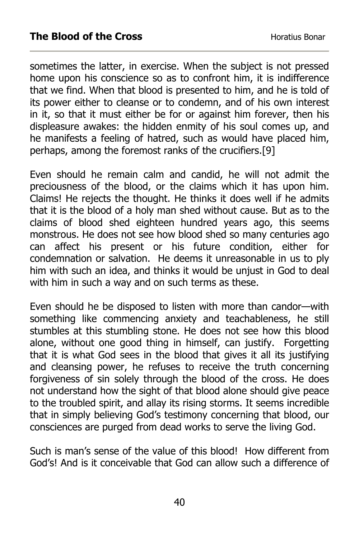sometimes the latter, in exercise. When the subject is not pressed home upon his conscience so as to confront him, it is indifference that we find. When that blood is presented to him, and he is told of its power either to cleanse or to condemn, and of his own interest in it, so that it must either be for or against him forever, then his displeasure awakes: the hidden enmity of his soul comes up, and he manifests a feeling of hatred, such as would have placed him, perhaps, among the foremost ranks of the crucifiers.[9]

Even should he remain calm and candid, he will not admit the preciousness of the blood, or the claims which it has upon him. Claims! He rejects the thought. He thinks it does well if he admits that it is the blood of a holy man shed without cause. But as to the claims of blood shed eighteen hundred years ago, this seems monstrous. He does not see how blood shed so many centuries ago can affect his present or his future condition, either for condemnation or salvation. He deems it unreasonable in us to ply him with such an idea, and thinks it would be unjust in God to deal with him in such a way and on such terms as these.

Even should he be disposed to listen with more than candor—with something like commencing anxiety and teachableness, he still stumbles at this stumbling stone. He does not see how this blood alone, without one good thing in himself, can justify. Forgetting that it is what God sees in the blood that gives it all its justifying and cleansing power, he refuses to receive the truth concerning forgiveness of sin solely through the blood of the cross. He does not understand how the sight of that blood alone should give peace to the troubled spirit, and allay its rising storms. It seems incredible that in simply believing God's testimony concerning that blood, our consciences are purged from dead works to serve the living God.

Such is man's sense of the value of this blood! How different from God's! And is it conceivable that God can allow such a difference of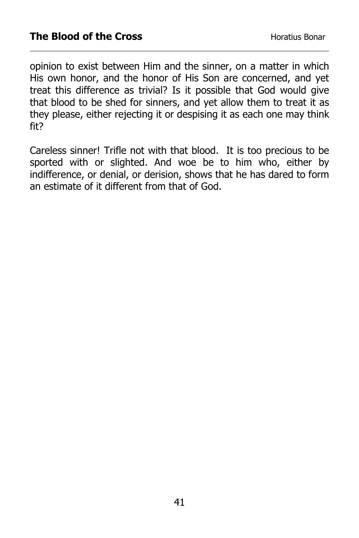opinion to exist between Him and the sinner, on a matter in which His own honor, and the honor of His Son are concerned, and yet treat this difference as trivial? Is it possible that God would give that blood to be shed for sinners, and yet allow them to treat it as they please, either rejecting it or despising it as each one may think fit?

Careless sinner! Trifle not with that blood. It is too precious to be sported with or slighted. And woe be to him who, either by indifference, or denial, or derision, shows that he has dared to form an estimate of it different from that of God.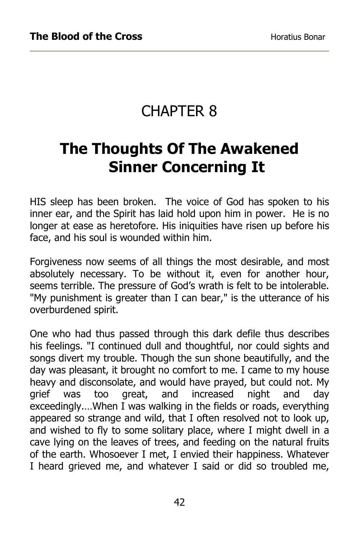### CHAPTER 8

# **The Thoughts Of The Awakened Sinner Concerning It**

HIS sleep has been broken. The voice of God has spoken to his inner ear, and the Spirit has laid hold upon him in power. He is no longer at ease as heretofore. His iniquities have risen up before his face, and his soul is wounded within him.

Forgiveness now seems of all things the most desirable, and most absolutely necessary. To be without it, even for another hour, seems terrible. The pressure of God's wrath is felt to be intolerable. "My punishment is greater than I can bear," is the utterance of his overburdened spirit.

One who had thus passed through this dark defile thus describes his feelings. "I continued dull and thoughtful, nor could sights and songs divert my trouble. Though the sun shone beautifully, and the day was pleasant, it brought no comfort to me. I came to my house heavy and disconsolate, and would have prayed, but could not. My grief was too great, and increased night and day exceedingly.…When I was walking in the fields or roads, everything appeared so strange and wild, that I often resolved not to look up, and wished to fly to some solitary place, where I might dwell in a cave lying on the leaves of trees, and feeding on the natural fruits of the earth. Whosoever I met, I envied their happiness. Whatever I heard grieved me, and whatever I said or did so troubled me,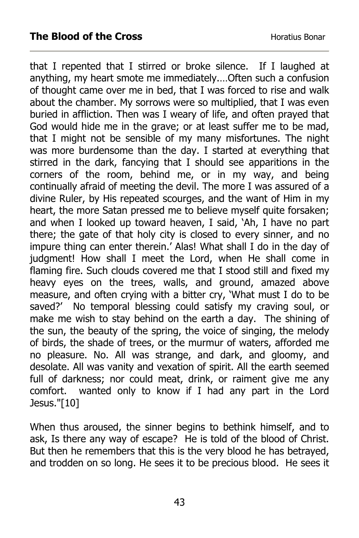that I repented that I stirred or broke silence. If I laughed at anything, my heart smote me immediately.…Often such a confusion of thought came over me in bed, that I was forced to rise and walk about the chamber. My sorrows were so multiplied, that I was even buried in affliction. Then was I weary of life, and often prayed that God would hide me in the grave; or at least suffer me to be mad, that I might not be sensible of my many misfortunes. The night was more burdensome than the day. I started at everything that stirred in the dark, fancying that I should see apparitions in the corners of the room, behind me, or in my way, and being continually afraid of meeting the devil. The more I was assured of a divine Ruler, by His repeated scourges, and the want of Him in my heart, the more Satan pressed me to believe myself quite forsaken; and when I looked up toward heaven, I said, 'Ah, I have no part there; the gate of that holy city is closed to every sinner, and no impure thing can enter therein.' Alas! What shall I do in the day of judgment! How shall I meet the Lord, when He shall come in flaming fire. Such clouds covered me that I stood still and fixed my heavy eyes on the trees, walls, and ground, amazed above measure, and often crying with a bitter cry, 'What must I do to be saved?' No temporal blessing could satisfy my craving soul, or make me wish to stay behind on the earth a day. The shining of the sun, the beauty of the spring, the voice of singing, the melody of birds, the shade of trees, or the murmur of waters, afforded me no pleasure. No. All was strange, and dark, and gloomy, and desolate. All was vanity and vexation of spirit. All the earth seemed full of darkness; nor could meat, drink, or raiment give me any comfort. wanted only to know if I had any part in the Lord Jesus."[10]

When thus aroused, the sinner begins to bethink himself, and to ask, Is there any way of escape? He is told of the blood of Christ. But then he remembers that this is the very blood he has betrayed, and trodden on so long. He sees it to be precious blood. He sees it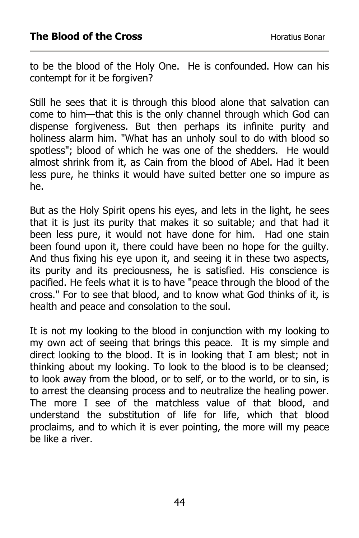to be the blood of the Holy One. He is confounded. How can his contempt for it be forgiven?

Still he sees that it is through this blood alone that salvation can come to him—that this is the only channel through which God can dispense forgiveness. But then perhaps its infinite purity and holiness alarm him. "What has an unholy soul to do with blood so spotless"; blood of which he was one of the shedders. He would almost shrink from it, as Cain from the blood of Abel. Had it been less pure, he thinks it would have suited better one so impure as he.

But as the Holy Spirit opens his eyes, and lets in the light, he sees that it is just its purity that makes it so suitable; and that had it been less pure, it would not have done for him. Had one stain been found upon it, there could have been no hope for the guilty. And thus fixing his eye upon it, and seeing it in these two aspects, its purity and its preciousness, he is satisfied. His conscience is pacified. He feels what it is to have "peace through the blood of the cross." For to see that blood, and to know what God thinks of it, is health and peace and consolation to the soul.

It is not my looking to the blood in conjunction with my looking to my own act of seeing that brings this peace. It is my simple and direct looking to the blood. It is in looking that I am blest; not in thinking about my looking. To look to the blood is to be cleansed; to look away from the blood, or to self, or to the world, or to sin, is to arrest the cleansing process and to neutralize the healing power. The more I see of the matchless value of that blood, and understand the substitution of life for life, which that blood proclaims, and to which it is ever pointing, the more will my peace be like a river.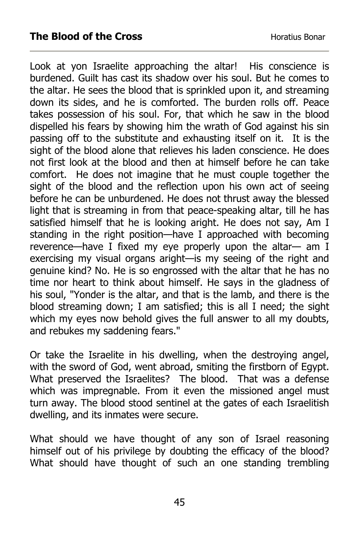Look at yon Israelite approaching the altar! His conscience is burdened. Guilt has cast its shadow over his soul. But he comes to the altar. He sees the blood that is sprinkled upon it, and streaming down its sides, and he is comforted. The burden rolls off. Peace takes possession of his soul. For, that which he saw in the blood dispelled his fears by showing him the wrath of God against his sin passing off to the substitute and exhausting itself on it. It is the sight of the blood alone that relieves his laden conscience. He does not first look at the blood and then at himself before he can take comfort. He does not imagine that he must couple together the sight of the blood and the reflection upon his own act of seeing before he can be unburdened. He does not thrust away the blessed light that is streaming in from that peace-speaking altar, till he has satisfied himself that he is looking aright. He does not say, Am I standing in the right position—have I approached with becoming reverence—have I fixed my eye properly upon the altar— am I exercising my visual organs aright—is my seeing of the right and genuine kind? No. He is so engrossed with the altar that he has no time nor heart to think about himself. He says in the gladness of his soul, "Yonder is the altar, and that is the lamb, and there is the blood streaming down; I am satisfied; this is all I need; the sight which my eyes now behold gives the full answer to all my doubts, and rebukes my saddening fears."

Or take the Israelite in his dwelling, when the destroying angel, with the sword of God, went abroad, smiting the firstborn of Egypt. What preserved the Israelites? The blood. That was a defense which was impregnable. From it even the missioned angel must turn away. The blood stood sentinel at the gates of each Israelitish dwelling, and its inmates were secure.

What should we have thought of any son of Israel reasoning himself out of his privilege by doubting the efficacy of the blood? What should have thought of such an one standing trembling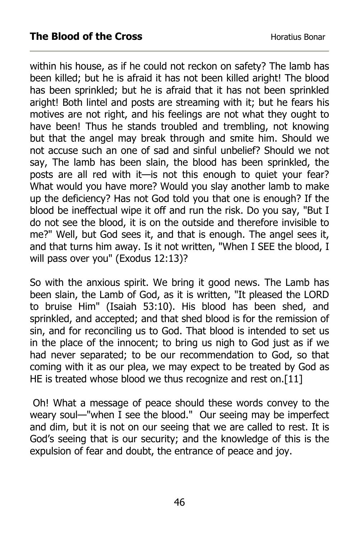within his house, as if he could not reckon on safety? The lamb has been killed; but he is afraid it has not been killed aright! The blood has been sprinkled; but he is afraid that it has not been sprinkled aright! Both lintel and posts are streaming with it; but he fears his motives are not right, and his feelings are not what they ought to have been! Thus he stands troubled and trembling, not knowing but that the angel may break through and smite him. Should we not accuse such an one of sad and sinful unbelief? Should we not say, The lamb has been slain, the blood has been sprinkled, the posts are all red with it—is not this enough to quiet your fear? What would you have more? Would you slay another lamb to make up the deficiency? Has not God told you that one is enough? If the blood be ineffectual wipe it off and run the risk. Do you say, "But I do not see the blood, it is on the outside and therefore invisible to me?" Well, but God sees it, and that is enough. The angel sees it, and that turns him away. Is it not written, "When I SEE the blood, I will pass over you" (Exodus 12:13)?

So with the anxious spirit. We bring it good news. The Lamb has been slain, the Lamb of God, as it is written, "It pleased the LORD to bruise Him" (Isaiah 53:10). His blood has been shed, and sprinkled, and accepted; and that shed blood is for the remission of sin, and for reconciling us to God. That blood is intended to set us in the place of the innocent; to bring us nigh to God just as if we had never separated; to be our recommendation to God, so that coming with it as our plea, we may expect to be treated by God as HE is treated whose blood we thus recognize and rest on.[11]

 Oh! What a message of peace should these words convey to the weary soul—"when  $\overline{I}$  see the blood." Our seeing may be imperfect and dim, but it is not on our seeing that we are called to rest. It is God's seeing that is our security; and the knowledge of this is the expulsion of fear and doubt, the entrance of peace and joy.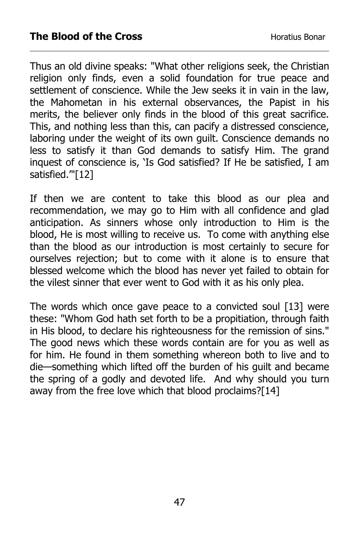Thus an old divine speaks: "What other religions seek, the Christian religion only finds, even a solid foundation for true peace and settlement of conscience. While the Jew seeks it in vain in the law, the Mahometan in his external observances, the Papist in his merits, the believer only finds in the blood of this great sacrifice. This, and nothing less than this, can pacify a distressed conscience, laboring under the weight of its own guilt. Conscience demands no less to satisfy it than God demands to satisfy Him. The grand inquest of conscience is, 'Is God satisfied? If He be satisfied, I am satisfied.'"[12]

If then we are content to take this blood as our plea and recommendation, we may go to Him with all confidence and glad anticipation. As sinners whose only introduction to Him is the blood, He is most willing to receive us. To come with anything else than the blood as our introduction is most certainly to secure for ourselves rejection; but to come with it alone is to ensure that blessed welcome which the blood has never yet failed to obtain for the vilest sinner that ever went to God with it as his only plea.

The words which once gave peace to a convicted soul [13] were these: "Whom God hath set forth to be a propitiation, through faith in His blood, to declare his righteousness for the remission of sins." The good news which these words contain are for you as well as for him. He found in them something whereon both to live and to die—something which lifted off the burden of his guilt and became the spring of a godly and devoted life. And why should you turn away from the free love which that blood proclaims?[14]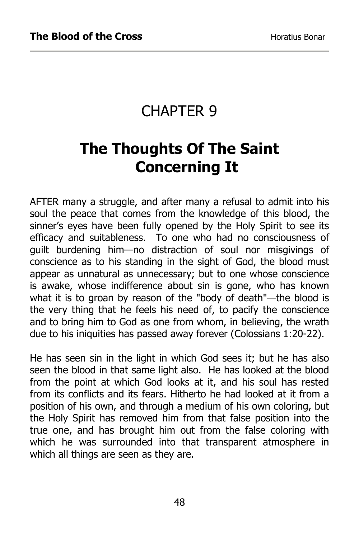### CHAPTER 9

# **The Thoughts Of The Saint Concerning It**

AFTER many a struggle, and after many a refusal to admit into his soul the peace that comes from the knowledge of this blood, the sinner's eyes have been fully opened by the Holy Spirit to see its efficacy and suitableness. To one who had no consciousness of guilt burdening him—no distraction of soul nor misgivings of conscience as to his standing in the sight of God, the blood must appear as unnatural as unnecessary; but to one whose conscience is awake, whose indifference about sin is gone, who has known what it is to groan by reason of the "body of death"—the blood is the very thing that he feels his need of, to pacify the conscience and to bring him to God as one from whom, in believing, the wrath due to his iniquities has passed away forever (Colossians 1:20-22).

He has seen sin in the light in which God sees it; but he has also seen the blood in that same light also. He has looked at the blood from the point at which God looks at it, and his soul has rested from its conflicts and its fears. Hitherto he had looked at it from a position of his own, and through a medium of his own coloring, but the Holy Spirit has removed him from that false position into the true one, and has brought him out from the false coloring with which he was surrounded into that transparent atmosphere in which all things are seen as they are.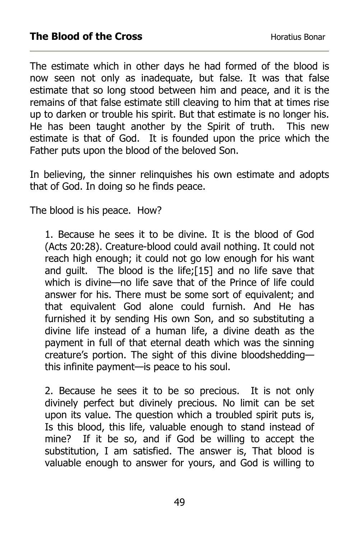The estimate which in other days he had formed of the blood is now seen not only as inadequate, but false. It was that false estimate that so long stood between him and peace, and it is the remains of that false estimate still cleaving to him that at times rise up to darken or trouble his spirit. But that estimate is no longer his. He has been taught another by the Spirit of truth. This new estimate is that of God. It is founded upon the price which the Father puts upon the blood of the beloved Son.

In believing, the sinner relinquishes his own estimate and adopts that of God. In doing so he finds peace.

The blood is his peace. How?

1. Because he sees it to be divine. It is the blood of God (Acts 20:28). Creature-blood could avail nothing. It could not reach high enough; it could not go low enough for his want and guilt. The blood is the life;[15] and no life save that which is divine—no life save that of the Prince of life could answer for his. There must be some sort of equivalent; and that equivalent God alone could furnish. And He has furnished it by sending His own Son, and so substituting a divine life instead of a human life, a divine death as the payment in full of that eternal death which was the sinning creature's portion. The sight of this divine bloodshedding this infinite payment—is peace to his soul.

2. Because he sees it to be so precious. It is not only divinely perfect but divinely precious. No limit can be set upon its value. The question which a troubled spirit puts is, Is this blood, this life, valuable enough to stand instead of mine? If it be so, and if God be willing to accept the substitution, I am satisfied. The answer is, That blood is valuable enough to answer for yours, and God is willing to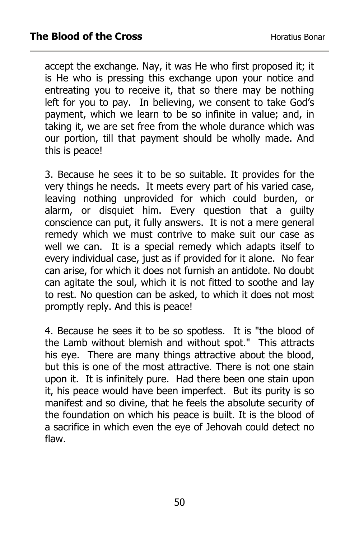accept the exchange. Nay, it was He who first proposed it; it is He who is pressing this exchange upon your notice and entreating you to receive it, that so there may be nothing left for you to pay. In believing, we consent to take God's payment, which we learn to be so infinite in value; and, in taking it, we are set free from the whole durance which was our portion, till that payment should be wholly made. And this is peace!

3. Because he sees it to be so suitable. It provides for the very things he needs. It meets every part of his varied case, leaving nothing unprovided for which could burden, or alarm, or disquiet him. Every question that a guilty conscience can put, it fully answers. It is not a mere general remedy which we must contrive to make suit our case as well we can. It is a special remedy which adapts itself to every individual case, just as if provided for it alone. No fear can arise, for which it does not furnish an antidote. No doubt can agitate the soul, which it is not fitted to soothe and lay to rest. No question can be asked, to which it does not most promptly reply. And this is peace!

4. Because he sees it to be so spotless. It is "the blood of the Lamb without blemish and without spot." This attracts his eye. There are many things attractive about the blood, but this is one of the most attractive. There is not one stain upon it. It is infinitely pure. Had there been one stain upon it, his peace would have been imperfect. But its purity is so manifest and so divine, that he feels the absolute security of the foundation on which his peace is built. It is the blood of a sacrifice in which even the eye of Jehovah could detect no flaw.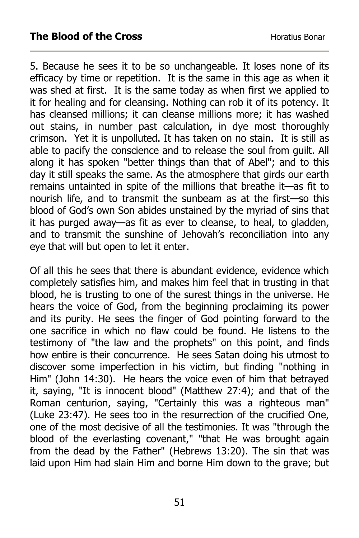5. Because he sees it to be so unchangeable. It loses none of its efficacy by time or repetition. It is the same in this age as when it was shed at first. It is the same today as when first we applied to it for healing and for cleansing. Nothing can rob it of its potency. It has cleansed millions; it can cleanse millions more; it has washed out stains, in number past calculation, in dye most thoroughly crimson. Yet it is unpolluted. It has taken on no stain. It is still as able to pacify the conscience and to release the soul from guilt. All along it has spoken "better things than that of Abel"; and to this day it still speaks the same. As the atmosphere that girds our earth remains untainted in spite of the millions that breathe it—as fit to nourish life, and to transmit the sunbeam as at the first—so this blood of God's own Son abides unstained by the myriad of sins that it has purged away—as fit as ever to cleanse, to heal, to gladden, and to transmit the sunshine of Jehovah's reconciliation into any eye that will but open to let it enter.

Of all this he sees that there is abundant evidence, evidence which completely satisfies him, and makes him feel that in trusting in that blood, he is trusting to one of the surest things in the universe. He hears the voice of God, from the beginning proclaiming its power and its purity. He sees the finger of God pointing forward to the one sacrifice in which no flaw could be found. He listens to the testimony of "the law and the prophets" on this point, and finds how entire is their concurrence. He sees Satan doing his utmost to discover some imperfection in his victim, but finding "nothing in Him" (John 14:30). He hears the voice even of him that betrayed it, saying, "It is innocent blood" (Matthew 27:4); and that of the Roman centurion, saying, "Certainly this was a righteous man" (Luke 23:47). He sees too in the resurrection of the crucified One, one of the most decisive of all the testimonies. It was "through the blood of the everlasting covenant," "that He was brought again from the dead by the Father" (Hebrews 13:20). The sin that was laid upon Him had slain Him and borne Him down to the grave; but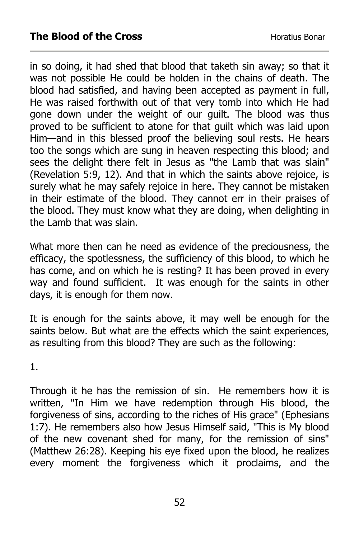in so doing, it had shed that blood that taketh sin away; so that it was not possible He could be holden in the chains of death. The blood had satisfied, and having been accepted as payment in full, He was raised forthwith out of that very tomb into which He had gone down under the weight of our guilt. The blood was thus proved to be sufficient to atone for that guilt which was laid upon Him—and in this blessed proof the believing soul rests. He hears too the songs which are sung in heaven respecting this blood; and sees the delight there felt in Jesus as "the Lamb that was slain" (Revelation 5:9, 12). And that in which the saints above rejoice, is surely what he may safely rejoice in here. They cannot be mistaken in their estimate of the blood. They cannot err in their praises of the blood. They must know what they are doing, when delighting in the Lamb that was slain.

What more then can he need as evidence of the preciousness, the efficacy, the spotlessness, the sufficiency of this blood, to which he has come, and on which he is resting? It has been proved in every way and found sufficient. It was enough for the saints in other days, it is enough for them now.

It is enough for the saints above, it may well be enough for the saints below. But what are the effects which the saint experiences, as resulting from this blood? They are such as the following:

1.

Through it he has the remission of sin. He remembers how it is written, "In Him we have redemption through His blood, the forgiveness of sins, according to the riches of His grace" (Ephesians 1:7). He remembers also how Jesus Himself said, "This is My blood of the new covenant shed for many, for the remission of sins" (Matthew 26:28). Keeping his eye fixed upon the blood, he realizes every moment the forgiveness which it proclaims, and the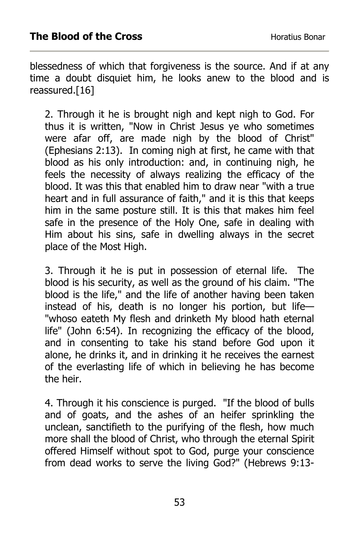blessedness of which that forgiveness is the source. And if at any time a doubt disquiet him, he looks anew to the blood and is reassured.[16]

2. Through it he is brought nigh and kept nigh to God. For thus it is written, "Now in Christ Jesus ye who sometimes were afar off, are made nigh by the blood of Christ" (Ephesians 2:13). In coming nigh at first, he came with that blood as his only introduction: and, in continuing nigh, he feels the necessity of always realizing the efficacy of the blood. It was this that enabled him to draw near "with a true heart and in full assurance of faith," and it is this that keeps him in the same posture still. It is this that makes him feel safe in the presence of the Holy One, safe in dealing with Him about his sins, safe in dwelling always in the secret place of the Most High.

3. Through it he is put in possession of eternal life. The blood is his security, as well as the ground of his claim. "The blood is the life," and the life of another having been taken instead of his, death is no longer his portion, but life— "whoso eateth My flesh and drinketh My blood hath eternal life" (John 6:54). In recognizing the efficacy of the blood, and in consenting to take his stand before God upon it alone, he drinks it, and in drinking it he receives the earnest of the everlasting life of which in believing he has become the heir.

4. Through it his conscience is purged. "If the blood of bulls and of goats, and the ashes of an heifer sprinkling the unclean, sanctifieth to the purifying of the flesh, how much more shall the blood of Christ, who through the eternal Spirit offered Himself without spot to God, purge your conscience from dead works to serve the living God?" (Hebrews 9:13-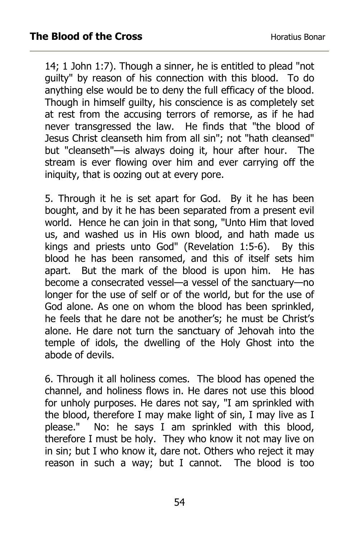14; 1 John 1:7). Though a sinner, he is entitled to plead "not guilty" by reason of his connection with this blood. To do anything else would be to deny the full efficacy of the blood. Though in himself guilty, his conscience is as completely set at rest from the accusing terrors of remorse, as if he had never transgressed the law. He finds that "the blood of Jesus Christ cleanseth him from all sin"; not "hath cleansed" but "cleanseth"—is always doing it, hour after hour. The stream is ever flowing over him and ever carrying off the iniquity, that is oozing out at every pore.

5. Through it he is set apart for God. By it he has been bought, and by it he has been separated from a present evil world. Hence he can join in that song, "Unto Him that loved us, and washed us in His own blood, and hath made us kings and priests unto God" (Revelation 1:5-6). By this blood he has been ransomed, and this of itself sets him apart. But the mark of the blood is upon him. He has become a consecrated vessel—a vessel of the sanctuary—no longer for the use of self or of the world, but for the use of God alone. As one on whom the blood has been sprinkled, he feels that he dare not be another's; he must be Christ's alone. He dare not turn the sanctuary of Jehovah into the temple of idols, the dwelling of the Holy Ghost into the abode of devils.

6. Through it all holiness comes. The blood has opened the channel, and holiness flows in. He dares not use this blood for unholy purposes. He dares not say, "I am sprinkled with the blood, therefore I may make light of sin, I may live as I please." No: he says I am sprinkled with this blood, therefore I must be holy. They who know it not may live on in sin; but I who know it, dare not. Others who reject it may reason in such a way; but I cannot. The blood is too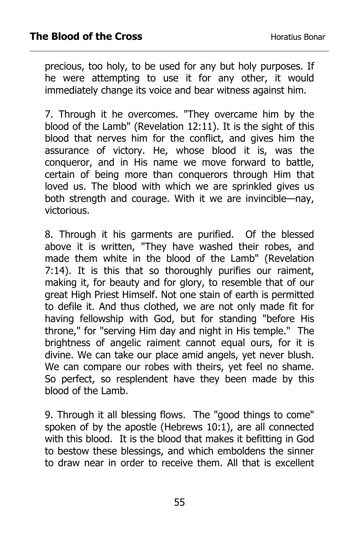precious, too holy, to be used for any but holy purposes. If he were attempting to use it for any other, it would immediately change its voice and bear witness against him.

7. Through it he overcomes. "They overcame him by the blood of the Lamb" (Revelation 12:11). It is the sight of this blood that nerves him for the conflict, and gives him the assurance of victory. He, whose blood it is, was the conqueror, and in His name we move forward to battle, certain of being more than conquerors through Him that loved us. The blood with which we are sprinkled gives us both strength and courage. With it we are invincible—nay, victorious.

8. Through it his garments are purified. Of the blessed above it is written, "They have washed their robes, and made them white in the blood of the Lamb" (Revelation 7:14). It is this that so thoroughly purifies our raiment, making it, for beauty and for glory, to resemble that of our great High Priest Himself. Not one stain of earth is permitted to defile it. And thus clothed, we are not only made fit for having fellowship with God, but for standing "before His throne," for "serving Him day and night in His temple." The brightness of angelic raiment cannot equal ours, for it is divine. We can take our place amid angels, yet never blush. We can compare our robes with theirs, yet feel no shame. So perfect, so resplendent have they been made by this blood of the Lamb.

9. Through it all blessing flows. The "good things to come" spoken of by the apostle (Hebrews 10:1), are all connected with this blood. It is the blood that makes it befitting in God to bestow these blessings, and which emboldens the sinner to draw near in order to receive them. All that is excellent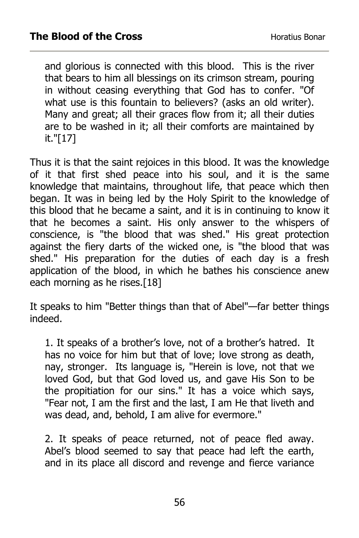and glorious is connected with this blood. This is the river that bears to him all blessings on its crimson stream, pouring in without ceasing everything that God has to confer. "Of what use is this fountain to believers? (asks an old writer). Many and great; all their graces flow from it; all their duties are to be washed in it; all their comforts are maintained by it."[17]

Thus it is that the saint rejoices in this blood. It was the knowledge of it that first shed peace into his soul, and it is the same knowledge that maintains, throughout life, that peace which then began. It was in being led by the Holy Spirit to the knowledge of this blood that he became a saint, and it is in continuing to know it that he becomes a saint. His only answer to the whispers of conscience, is "the blood that was shed." His great protection against the fiery darts of the wicked one, is "the blood that was shed." His preparation for the duties of each day is a fresh application of the blood, in which he bathes his conscience anew each morning as he rises.[18]

It speaks to him "Better things than that of Abel"—far better things indeed.

1. It speaks of a brother's love, not of a brother's hatred. It has no voice for him but that of love; love strong as death, nay, stronger. Its language is, "Herein is love, not that we loved God, but that God loved us, and gave His Son to be the propitiation for our sins." It has a voice which says, "Fear not, I am the first and the last, I am He that liveth and was dead, and, behold, I am alive for evermore."

2. It speaks of peace returned, not of peace fled away. Abel's blood seemed to say that peace had left the earth, and in its place all discord and revenge and fierce variance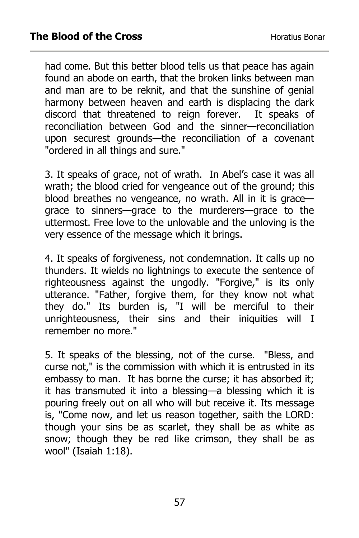had come. But this better blood tells us that peace has again found an abode on earth, that the broken links between man and man are to be reknit, and that the sunshine of genial harmony between heaven and earth is displacing the dark discord that threatened to reign forever. It speaks of reconciliation between God and the sinner—reconciliation upon securest grounds—the reconciliation of a covenant "ordered in all things and sure."

3. It speaks of grace, not of wrath. In Abel's case it was all wrath; the blood cried for vengeance out of the ground; this blood breathes no vengeance, no wrath. All in it is grace grace to sinners—grace to the murderers—grace to the uttermost. Free love to the unlovable and the unloving is the very essence of the message which it brings.

4. It speaks of forgiveness, not condemnation. It calls up no thunders. It wields no lightnings to execute the sentence of righteousness against the ungodly. "Forgive," is its only utterance. "Father, forgive them, for they know not what they do." Its burden is, "I will be merciful to their unrighteousness, their sins and their iniquities will I remember no more."

5. It speaks of the blessing, not of the curse. "Bless, and curse not," is the commission with which it is entrusted in its embassy to man. It has borne the curse; it has absorbed it; it has transmuted it into a blessing—a blessing which it is pouring freely out on all who will but receive it. Its message is, "Come now, and let us reason together, saith the LORD: though your sins be as scarlet, they shall be as white as snow; though they be red like crimson, they shall be as wool" (Isaiah 1:18).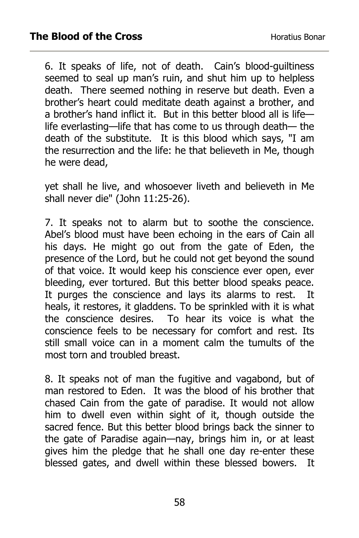6. It speaks of life, not of death. Cain's blood-guiltiness seemed to seal up man's ruin, and shut him up to helpless death. There seemed nothing in reserve but death. Even a brother's heart could meditate death against a brother, and a brother's hand inflict it. But in this better blood all is life life everlasting—life that has come to us through death— the death of the substitute. It is this blood which says, "I am the resurrection and the life: he that believeth in Me, though he were dead,

yet shall he live, and whosoever liveth and believeth in Me shall never die" (John 11:25-26).

7. It speaks not to alarm but to soothe the conscience. Abel's blood must have been echoing in the ears of Cain all his days. He might go out from the gate of Eden, the presence of the Lord, but he could not get beyond the sound of that voice. It would keep his conscience ever open, ever bleeding, ever tortured. But this better blood speaks peace. It purges the conscience and lays its alarms to rest. It heals, it restores, it gladdens. To be sprinkled with it is what the conscience desires. To hear its voice is what the conscience feels to be necessary for comfort and rest. Its still small voice can in a moment calm the tumults of the most torn and troubled breast.

8. It speaks not of man the fugitive and vagabond, but of man restored to Eden. It was the blood of his brother that chased Cain from the gate of paradise. It would not allow him to dwell even within sight of it, though outside the sacred fence. But this better blood brings back the sinner to the gate of Paradise again—nay, brings him in, or at least gives him the pledge that he shall one day re-enter these blessed gates, and dwell within these blessed bowers. It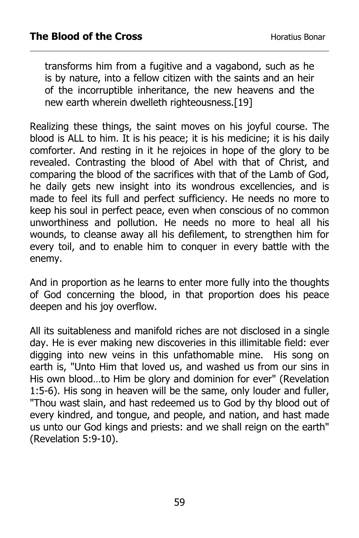transforms him from a fugitive and a vagabond, such as he is by nature, into a fellow citizen with the saints and an heir of the incorruptible inheritance, the new heavens and the new earth wherein dwelleth righteousness.[19]

Realizing these things, the saint moves on his joyful course. The blood is ALL to him. It is his peace; it is his medicine; it is his daily comforter. And resting in it he rejoices in hope of the glory to be revealed. Contrasting the blood of Abel with that of Christ, and comparing the blood of the sacrifices with that of the Lamb of God, he daily gets new insight into its wondrous excellencies, and is made to feel its full and perfect sufficiency. He needs no more to keep his soul in perfect peace, even when conscious of no common unworthiness and pollution. He needs no more to heal all his wounds, to cleanse away all his defilement, to strengthen him for every toil, and to enable him to conquer in every battle with the enemy.

And in proportion as he learns to enter more fully into the thoughts of God concerning the blood, in that proportion does his peace deepen and his joy overflow.

All its suitableness and manifold riches are not disclosed in a single day. He is ever making new discoveries in this illimitable field: ever digging into new veins in this unfathomable mine. His song on earth is, "Unto Him that loved us, and washed us from our sins in His own blood…to Him be glory and dominion for ever" (Revelation 1:5-6). His song in heaven will be the same, only louder and fuller, "Thou wast slain, and hast redeemed us to God by thy blood out of every kindred, and tongue, and people, and nation, and hast made us unto our God kings and priests: and we shall reign on the earth" (Revelation 5:9-10).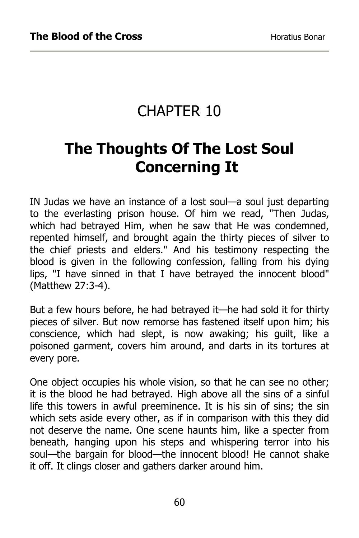### CHAPTER 10

# **The Thoughts Of The Lost Soul Concerning It**

IN Judas we have an instance of a lost soul—a soul just departing to the everlasting prison house. Of him we read, "Then Judas, which had betrayed Him, when he saw that He was condemned, repented himself, and brought again the thirty pieces of silver to the chief priests and elders." And his testimony respecting the blood is given in the following confession, falling from his dying lips, "I have sinned in that I have betrayed the innocent blood" (Matthew 27:3-4).

But a few hours before, he had betrayed it—he had sold it for thirty pieces of silver. But now remorse has fastened itself upon him; his conscience, which had slept, is now awaking; his guilt, like a poisoned garment, covers him around, and darts in its tortures at every pore.

One object occupies his whole vision, so that he can see no other; it is the blood he had betrayed. High above all the sins of a sinful life this towers in awful preeminence. It is his sin of sins; the sin which sets aside every other, as if in comparison with this they did not deserve the name. One scene haunts him, like a specter from beneath, hanging upon his steps and whispering terror into his soul—the bargain for blood—the innocent blood! He cannot shake it off. It clings closer and gathers darker around him.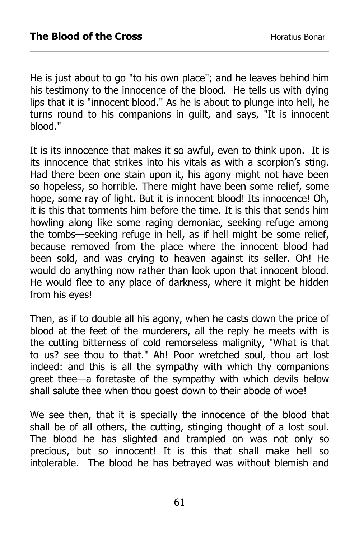He is just about to go "to his own place"; and he leaves behind him his testimony to the innocence of the blood. He tells us with dying lips that it is "innocent blood." As he is about to plunge into hell, he turns round to his companions in guilt, and says, "It is innocent blood."

It is its innocence that makes it so awful, even to think upon. It is its innocence that strikes into his vitals as with a scorpion's sting. Had there been one stain upon it, his agony might not have been so hopeless, so horrible. There might have been some relief, some hope, some ray of light. But it is innocent blood! Its innocence! Oh, it is this that torments him before the time. It is this that sends him howling along like some raging demoniac, seeking refuge among the tombs—seeking refuge in hell, as if hell might be some relief, because removed from the place where the innocent blood had been sold, and was crying to heaven against its seller. Oh! He would do anything now rather than look upon that innocent blood. He would flee to any place of darkness, where it might be hidden from his eyes!

Then, as if to double all his agony, when he casts down the price of blood at the feet of the murderers, all the reply he meets with is the cutting bitterness of cold remorseless malignity, "What is that to us? see thou to that." Ah! Poor wretched soul, thou art lost indeed: and this is all the sympathy with which thy companions greet thee—a foretaste of the sympathy with which devils below shall salute thee when thou goest down to their abode of woe!

We see then, that it is specially the innocence of the blood that shall be of all others, the cutting, stinging thought of a lost soul. The blood he has slighted and trampled on was not only so precious, but so innocent! It is this that shall make hell so intolerable. The blood he has betrayed was without blemish and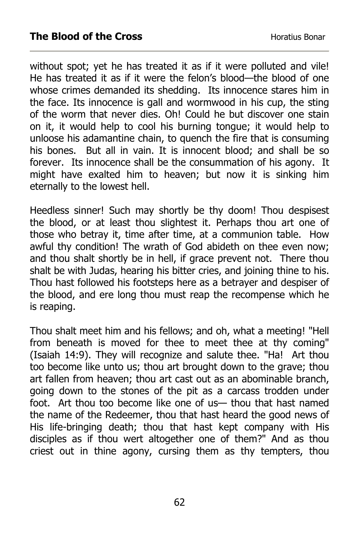without spot; yet he has treated it as if it were polluted and vile! He has treated it as if it were the felon's blood—the blood of one whose crimes demanded its shedding. Its innocence stares him in the face. Its innocence is gall and wormwood in his cup, the sting of the worm that never dies. Oh! Could he but discover one stain on it, it would help to cool his burning tongue; it would help to unloose his adamantine chain, to quench the fire that is consuming his bones. But all in vain. It is innocent blood; and shall be so forever. Its innocence shall be the consummation of his agony. It might have exalted him to heaven; but now it is sinking him eternally to the lowest hell.

Heedless sinner! Such may shortly be thy doom! Thou despisest the blood, or at least thou slightest it. Perhaps thou art one of those who betray it, time after time, at a communion table. How awful thy condition! The wrath of God abideth on thee even now; and thou shalt shortly be in hell, if grace prevent not. There thou shalt be with Judas, hearing his bitter cries, and joining thine to his. Thou hast followed his footsteps here as a betrayer and despiser of the blood, and ere long thou must reap the recompense which he is reaping.

Thou shalt meet him and his fellows; and oh, what a meeting! "Hell from beneath is moved for thee to meet thee at thy coming" (Isaiah 14:9). They will recognize and salute thee. "Ha! Art thou too become like unto us; thou art brought down to the grave; thou art fallen from heaven; thou art cast out as an abominable branch, going down to the stones of the pit as a carcass trodden under foot. Art thou too become like one of us— thou that hast named the name of the Redeemer, thou that hast heard the good news of His life-bringing death; thou that hast kept company with His disciples as if thou wert altogether one of them?" And as thou criest out in thine agony, cursing them as thy tempters, thou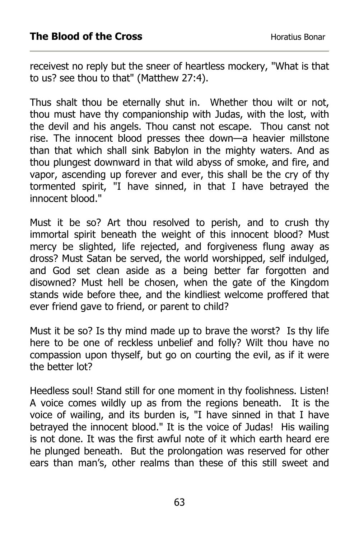receivest no reply but the sneer of heartless mockery, "What is that to us? see thou to that" (Matthew 27:4).

Thus shalt thou be eternally shut in. Whether thou wilt or not, thou must have thy companionship with Judas, with the lost, with the devil and his angels. Thou canst not escape. Thou canst not rise. The innocent blood presses thee down—a heavier millstone than that which shall sink Babylon in the mighty waters. And as thou plungest downward in that wild abyss of smoke, and fire, and vapor, ascending up forever and ever, this shall be the cry of thy tormented spirit, "I have sinned, in that I have betrayed the innocent blood."

Must it be so? Art thou resolved to perish, and to crush thy immortal spirit beneath the weight of this innocent blood? Must mercy be slighted, life rejected, and forgiveness flung away as dross? Must Satan be served, the world worshipped, self indulged, and God set clean aside as a being better far forgotten and disowned? Must hell be chosen, when the gate of the Kingdom stands wide before thee, and the kindliest welcome proffered that ever friend gave to friend, or parent to child?

Must it be so? Is thy mind made up to brave the worst? Is thy life here to be one of reckless unbelief and folly? Wilt thou have no compassion upon thyself, but go on courting the evil, as if it were the better lot?

Heedless soul! Stand still for one moment in thy foolishness. Listen! A voice comes wildly up as from the regions beneath. It is the voice of wailing, and its burden is, "I have sinned in that I have betrayed the innocent blood." It is the voice of Judas! His wailing is not done. It was the first awful note of it which earth heard ere he plunged beneath. But the prolongation was reserved for other ears than man's, other realms than these of this still sweet and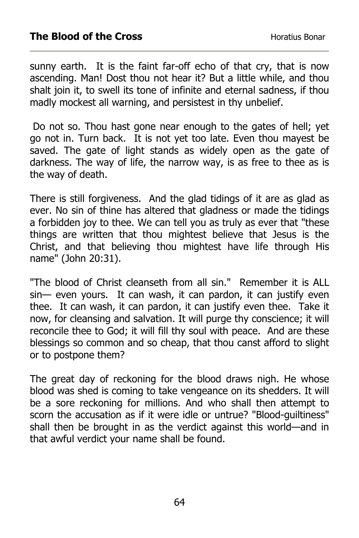sunny earth. It is the faint far-off echo of that cry, that is now ascending. Man! Dost thou not hear it? But a little while, and thou shalt join it, to swell its tone of infinite and eternal sadness, if thou madly mockest all warning, and persistest in thy unbelief.

 Do not so. Thou hast gone near enough to the gates of hell; yet go not in. Turn back. It is not yet too late. Even thou mayest be saved. The gate of light stands as widely open as the gate of darkness. The way of life, the narrow way, is as free to thee as is the way of death.

There is still forgiveness. And the glad tidings of it are as glad as ever. No sin of thine has altered that gladness or made the tidings a forbidden joy to thee. We can tell you as truly as ever that "these things are written that thou mightest believe that Jesus is the Christ, and that believing thou mightest have life through His name" (John 20:31).

"The blood of Christ cleanseth from all sin." Remember it is ALL sin— even yours. It can wash, it can pardon, it can justify even thee. It can wash, it can pardon, it can justify even thee. Take it now, for cleansing and salvation. It will purge thy conscience; it will reconcile thee to God; it will fill thy soul with peace. And are these blessings so common and so cheap, that thou canst afford to slight or to postpone them?

The great day of reckoning for the blood draws nigh. He whose blood was shed is coming to take vengeance on its shedders. It will be a sore reckoning for millions. And who shall then attempt to scorn the accusation as if it were idle or untrue? "Blood-guiltiness" shall then be brought in as the verdict against this world—and in that awful verdict your name shall be found.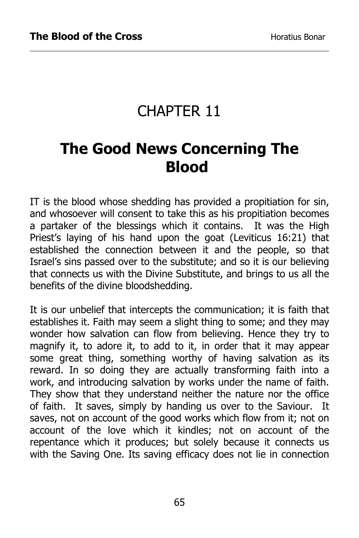### CHAPTER 11

## **The Good News Concerning The Blood**

IT is the blood whose shedding has provided a propitiation for sin, and whosoever will consent to take this as his propitiation becomes a partaker of the blessings which it contains. It was the High Priest's laying of his hand upon the goat (Leviticus 16:21) that established the connection between it and the people, so that Israel's sins passed over to the substitute; and so it is our believing that connects us with the Divine Substitute, and brings to us all the benefits of the divine bloodshedding.

It is our unbelief that intercepts the communication; it is faith that establishes it. Faith may seem a slight thing to some; and they may wonder how salvation can flow from believing. Hence they try to magnify it, to adore it, to add to it, in order that it may appear some great thing, something worthy of having salvation as its reward. In so doing they are actually transforming faith into a work, and introducing salvation by works under the name of faith. They show that they understand neither the nature nor the office of faith. It saves, simply by handing us over to the Saviour. It saves, not on account of the good works which flow from it; not on account of the love which it kindles; not on account of the repentance which it produces; but solely because it connects us with the Saving One. Its saving efficacy does not lie in connection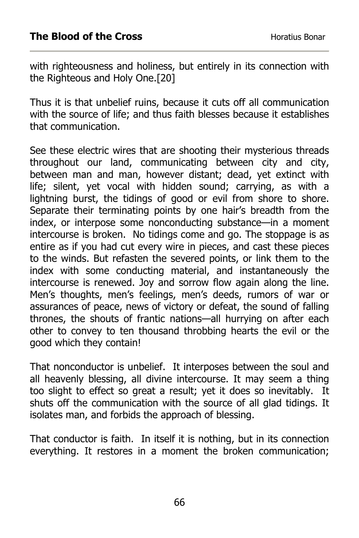with righteousness and holiness, but entirely in its connection with the Righteous and Holy One.[20]

Thus it is that unbelief ruins, because it cuts off all communication with the source of life; and thus faith blesses because it establishes that communication.

See these electric wires that are shooting their mysterious threads throughout our land, communicating between city and city, between man and man, however distant; dead, yet extinct with life; silent, yet vocal with hidden sound; carrying, as with a lightning burst, the tidings of good or evil from shore to shore. Separate their terminating points by one hair's breadth from the index, or interpose some nonconducting substance—in a moment intercourse is broken. No tidings come and go. The stoppage is as entire as if you had cut every wire in pieces, and cast these pieces to the winds. But refasten the severed points, or link them to the index with some conducting material, and instantaneously the intercourse is renewed. Joy and sorrow flow again along the line. Men's thoughts, men's feelings, men's deeds, rumors of war or assurances of peace, news of victory or defeat, the sound of falling thrones, the shouts of frantic nations—all hurrying on after each other to convey to ten thousand throbbing hearts the evil or the good which they contain!

That nonconductor is unbelief. It interposes between the soul and all heavenly blessing, all divine intercourse. It may seem a thing too slight to effect so great a result; yet it does so inevitably. It shuts off the communication with the source of all glad tidings. It isolates man, and forbids the approach of blessing.

That conductor is faith. In itself it is nothing, but in its connection everything. It restores in a moment the broken communication;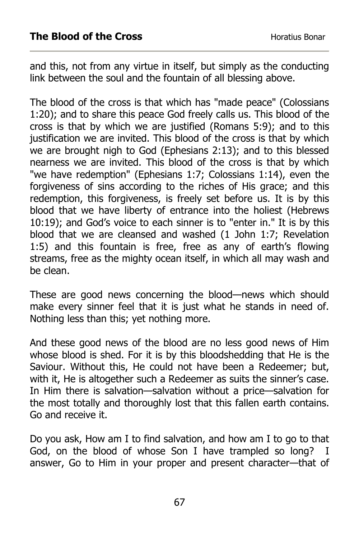and this, not from any virtue in itself, but simply as the conducting link between the soul and the fountain of all blessing above.

The blood of the cross is that which has "made peace" (Colossians 1:20); and to share this peace God freely calls us. This blood of the cross is that by which we are justified (Romans 5:9); and to this justification we are invited. This blood of the cross is that by which we are brought nigh to God (Ephesians 2:13); and to this blessed nearness we are invited. This blood of the cross is that by which "we have redemption" (Ephesians 1:7; Colossians 1:14), even the forgiveness of sins according to the riches of His grace; and this redemption, this forgiveness, is freely set before us. It is by this blood that we have liberty of entrance into the holiest (Hebrews 10:19); and God's voice to each sinner is to "enter in." It is by this blood that we are cleansed and washed (1 John 1:7; Revelation 1:5) and this fountain is free, free as any of earth's flowing streams, free as the mighty ocean itself, in which all may wash and be clean.

These are good news concerning the blood—news which should make every sinner feel that it is just what he stands in need of. Nothing less than this; yet nothing more.

And these good news of the blood are no less good news of Him whose blood is shed. For it is by this bloodshedding that He is the Saviour. Without this, He could not have been a Redeemer; but, with it, He is altogether such a Redeemer as suits the sinner's case. In Him there is salvation—salvation without a price—salvation for the most totally and thoroughly lost that this fallen earth contains. Go and receive it.

Do you ask, How am I to find salvation, and how am I to go to that God, on the blood of whose Son I have trampled so long? I answer, Go to Him in your proper and present character—that of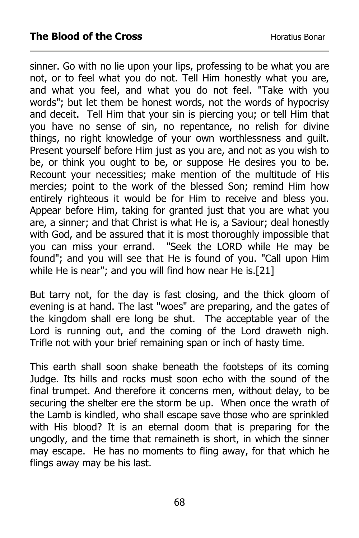sinner. Go with no lie upon your lips, professing to be what you are not, or to feel what you do not. Tell Him honestly what you are, and what you feel, and what you do not feel. "Take with you words"; but let them be honest words, not the words of hypocrisy and deceit. Tell Him that your sin is piercing you; or tell Him that you have no sense of sin, no repentance, no relish for divine things, no right knowledge of your own worthlessness and guilt. Present yourself before Him just as you are, and not as you wish to be, or think you ought to be, or suppose He desires you to be. Recount your necessities; make mention of the multitude of His mercies; point to the work of the blessed Son; remind Him how entirely righteous it would be for Him to receive and bless you. Appear before Him, taking for granted just that you are what you are, a sinner; and that Christ is what He is, a Saviour; deal honestly with God, and be assured that it is most thoroughly impossible that you can miss your errand. "Seek the LORD while He may be found"; and you will see that He is found of you. "Call upon Him while He is near"; and you will find how near He is.[21]

But tarry not, for the day is fast closing, and the thick gloom of evening is at hand. The last "woes" are preparing, and the gates of the kingdom shall ere long be shut. The acceptable year of the Lord is running out, and the coming of the Lord draweth nigh. Trifle not with your brief remaining span or inch of hasty time.

This earth shall soon shake beneath the footsteps of its coming Judge. Its hills and rocks must soon echo with the sound of the final trumpet. And therefore it concerns men, without delay, to be securing the shelter ere the storm be up. When once the wrath of the Lamb is kindled, who shall escape save those who are sprinkled with His blood? It is an eternal doom that is preparing for the ungodly, and the time that remaineth is short, in which the sinner may escape. He has no moments to fling away, for that which he flings away may be his last.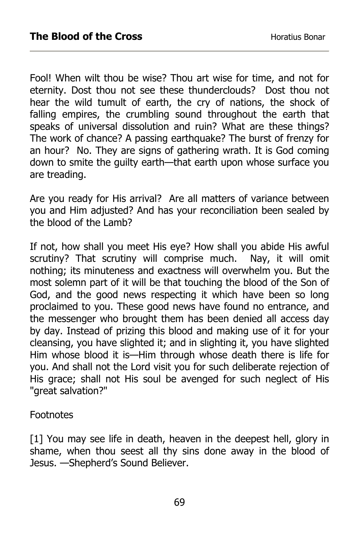Fool! When wilt thou be wise? Thou art wise for time, and not for eternity. Dost thou not see these thunderclouds? Dost thou not hear the wild tumult of earth, the cry of nations, the shock of falling empires, the crumbling sound throughout the earth that speaks of universal dissolution and ruin? What are these things? The work of chance? A passing earthquake? The burst of frenzy for an hour? No. They are signs of gathering wrath. It is God coming down to smite the guilty earth—that earth upon whose surface you are treading.

Are you ready for His arrival? Are all matters of variance between you and Him adjusted? And has your reconciliation been sealed by the blood of the Lamb?

If not, how shall you meet His eye? How shall you abide His awful scrutiny? That scrutiny will comprise much. Nay, it will omit nothing; its minuteness and exactness will overwhelm you. But the most solemn part of it will be that touching the blood of the Son of God, and the good news respecting it which have been so long proclaimed to you. These good news have found no entrance, and the messenger who brought them has been denied all access day by day. Instead of prizing this blood and making use of it for your cleansing, you have slighted it; and in slighting it, you have slighted Him whose blood it is—Him through whose death there is life for you. And shall not the Lord visit you for such deliberate rejection of His grace; shall not His soul be avenged for such neglect of His "great salvation?"

#### **Footnotes**

[1] You may see life in death, heaven in the deepest hell, glory in shame, when thou seest all thy sins done away in the blood of Jesus. —Shepherd's Sound Believer.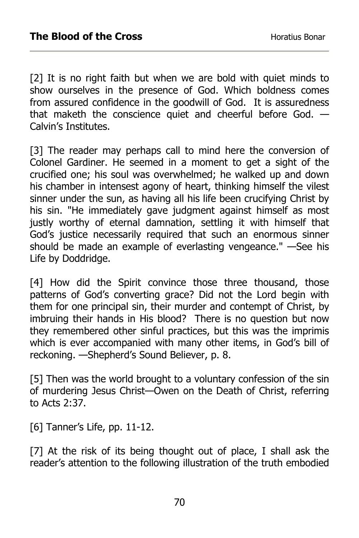[2] It is no right faith but when we are bold with quiet minds to show ourselves in the presence of God. Which boldness comes from assured confidence in the goodwill of God. It is assuredness that maketh the conscience quiet and cheerful before God. — Calvin's Institutes.

[3] The reader may perhaps call to mind here the conversion of Colonel Gardiner. He seemed in a moment to get a sight of the crucified one; his soul was overwhelmed; he walked up and down his chamber in intensest agony of heart, thinking himself the vilest sinner under the sun, as having all his life been crucifying Christ by his sin. "He immediately gave judgment against himself as most justly worthy of eternal damnation, settling it with himself that God's justice necessarily required that such an enormous sinner should be made an example of everlasting vengeance." —See his Life by Doddridge.

[4] How did the Spirit convince those three thousand, those patterns of God's converting grace? Did not the Lord begin with them for one principal sin, their murder and contempt of Christ, by imbruing their hands in His blood? There is no question but now they remembered other sinful practices, but this was the imprimis which is ever accompanied with many other items, in God's bill of reckoning. —Shepherd's Sound Believer, p. 8.

[5] Then was the world brought to a voluntary confession of the sin of murdering Jesus Christ—Owen on the Death of Christ, referring to Acts 2:37.

[6] Tanner's Life, pp. 11-12.

[7] At the risk of its being thought out of place, I shall ask the reader's attention to the following illustration of the truth embodied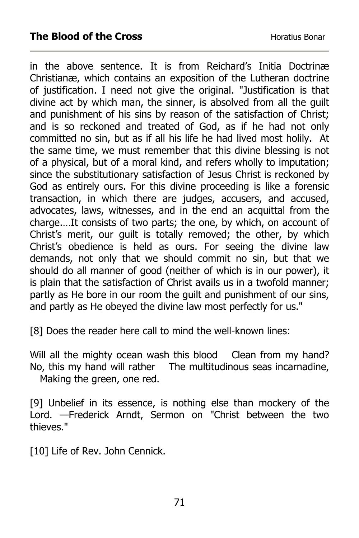in the above sentence. It is from Reichard's Initia Doctrinæ Christianæ, which contains an exposition of the Lutheran doctrine of justification. I need not give the original. "Justification is that divine act by which man, the sinner, is absolved from all the guilt and punishment of his sins by reason of the satisfaction of Christ; and is so reckoned and treated of God, as if he had not only committed no sin, but as if all his life he had lived most holily. At the same time, we must remember that this divine blessing is not of a physical, but of a moral kind, and refers wholly to imputation; since the substitutionary satisfaction of Jesus Christ is reckoned by God as entirely ours. For this divine proceeding is like a forensic transaction, in which there are judges, accusers, and accused, advocates, laws, witnesses, and in the end an acquittal from the charge.…It consists of two parts; the one, by which, on account of Christ's merit, our guilt is totally removed; the other, by which Christ's obedience is held as ours. For seeing the divine law demands, not only that we should commit no sin, but that we should do all manner of good (neither of which is in our power), it is plain that the satisfaction of Christ avails us in a twofold manner; partly as He bore in our room the guilt and punishment of our sins, and partly as He obeyed the divine law most perfectly for us."

[8] Does the reader here call to mind the well-known lines:

Will all the mighty ocean wash this blood Clean from my hand? No, this my hand will rather The multitudinous seas incarnadine, Making the green, one red.

[9] Unbelief in its essence, is nothing else than mockery of the Lord. —Frederick Arndt, Sermon on "Christ between the two thieves."

[10] Life of Rev. John Cennick.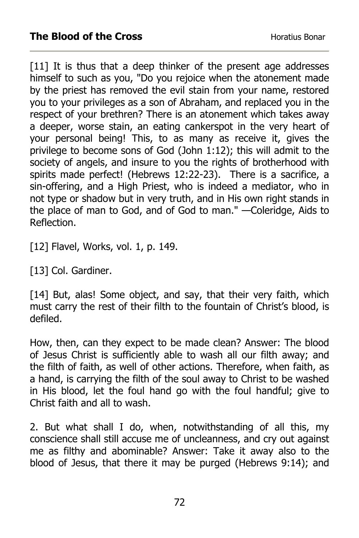[11] It is thus that a deep thinker of the present age addresses himself to such as you, "Do you rejoice when the atonement made by the priest has removed the evil stain from your name, restored you to your privileges as a son of Abraham, and replaced you in the respect of your brethren? There is an atonement which takes away a deeper, worse stain, an eating cankerspot in the very heart of your personal being! This, to as many as receive it, gives the privilege to become sons of God (John 1:12); this will admit to the society of angels, and insure to you the rights of brotherhood with spirits made perfect! (Hebrews 12:22-23). There is a sacrifice, a sin-offering, and a High Priest, who is indeed a mediator, who in not type or shadow but in very truth, and in His own right stands in the place of man to God, and of God to man." —Coleridge, Aids to Reflection.

[12] Flavel, Works, vol. 1, p. 149.

[13] Col. Gardiner.

[14] But, alas! Some object, and say, that their very faith, which must carry the rest of their filth to the fountain of Christ's blood, is defiled.

How, then, can they expect to be made clean? Answer: The blood of Jesus Christ is sufficiently able to wash all our filth away; and the filth of faith, as well of other actions. Therefore, when faith, as a hand, is carrying the filth of the soul away to Christ to be washed in His blood, let the foul hand go with the foul handful; give to Christ faith and all to wash.

2. But what shall I do, when, notwithstanding of all this, my conscience shall still accuse me of uncleanness, and cry out against me as filthy and abominable? Answer: Take it away also to the blood of Jesus, that there it may be purged (Hebrews 9:14); and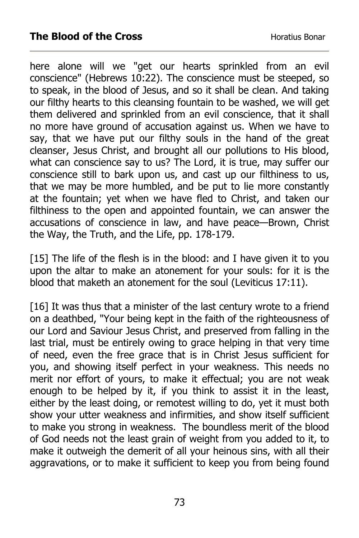here alone will we "get our hearts sprinkled from an evil conscience" (Hebrews 10:22). The conscience must be steeped, so to speak, in the blood of Jesus, and so it shall be clean. And taking our filthy hearts to this cleansing fountain to be washed, we will get them delivered and sprinkled from an evil conscience, that it shall no more have ground of accusation against us. When we have to say, that we have put our filthy souls in the hand of the great cleanser, Jesus Christ, and brought all our pollutions to His blood, what can conscience say to us? The Lord, it is true, may suffer our conscience still to bark upon us, and cast up our filthiness to us, that we may be more humbled, and be put to lie more constantly at the fountain; yet when we have fled to Christ, and taken our filthiness to the open and appointed fountain, we can answer the accusations of conscience in law, and have peace—Brown, Christ the Way, the Truth, and the Life, pp. 178-179.

[15] The life of the flesh is in the blood: and I have given it to you upon the altar to make an atonement for your souls: for it is the blood that maketh an atonement for the soul (Leviticus 17:11).

[16] It was thus that a minister of the last century wrote to a friend on a deathbed, "Your being kept in the faith of the righteousness of our Lord and Saviour Jesus Christ, and preserved from falling in the last trial, must be entirely owing to grace helping in that very time of need, even the free grace that is in Christ Jesus sufficient for you, and showing itself perfect in your weakness. This needs no merit nor effort of yours, to make it effectual; you are not weak enough to be helped by it, if you think to assist it in the least, either by the least doing, or remotest willing to do, yet it must both show your utter weakness and infirmities, and show itself sufficient to make you strong in weakness. The boundless merit of the blood of God needs not the least grain of weight from you added to it, to make it outweigh the demerit of all your heinous sins, with all their aggravations, or to make it sufficient to keep you from being found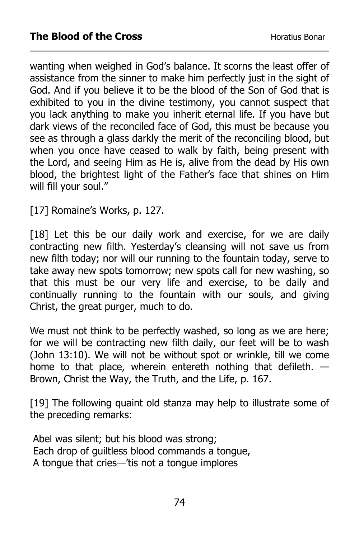wanting when weighed in God's balance. It scorns the least offer of assistance from the sinner to make him perfectly just in the sight of God. And if you believe it to be the blood of the Son of God that is exhibited to you in the divine testimony, you cannot suspect that you lack anything to make you inherit eternal life. If you have but dark views of the reconciled face of God, this must be because you see as through a glass darkly the merit of the reconciling blood, but when you once have ceased to walk by faith, being present with the Lord, and seeing Him as He is, alive from the dead by His own blood, the brightest light of the Father's face that shines on Him will fill your soul."

[17] Romaine's Works, p. 127.

[18] Let this be our daily work and exercise, for we are daily contracting new filth. Yesterday's cleansing will not save us from new filth today; nor will our running to the fountain today, serve to take away new spots tomorrow; new spots call for new washing, so that this must be our very life and exercise, to be daily and continually running to the fountain with our souls, and giving Christ, the great purger, much to do.

We must not think to be perfectly washed, so long as we are here; for we will be contracting new filth daily, our feet will be to wash (John 13:10). We will not be without spot or wrinkle, till we come home to that place, wherein entereth nothing that defileth.  $-$ Brown, Christ the Way, the Truth, and the Life, p. 167.

[19] The following quaint old stanza may help to illustrate some of the preceding remarks:

 Abel was silent; but his blood was strong; Each drop of guiltless blood commands a tongue, A tongue that cries—'tis not a tongue implores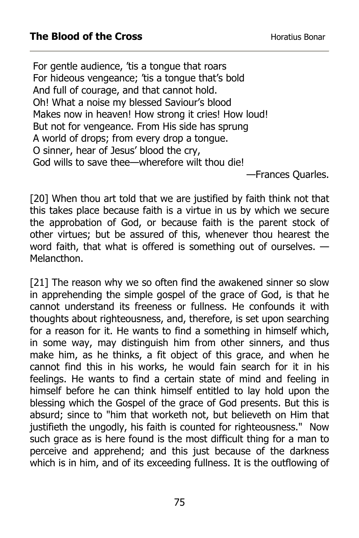For gentle audience, 'tis a tongue that roars For hideous vengeance; 'tis a tongue that's bold And full of courage, and that cannot hold. Oh! What a noise my blessed Saviour's blood Makes now in heaven! How strong it cries! How loud! But not for vengeance. From His side has sprung A world of drops; from every drop a tongue. O sinner, hear of Jesus' blood the cry, God wills to save thee—wherefore wilt thou die!

—Frances Quarles.

[20] When thou art told that we are justified by faith think not that this takes place because faith is a virtue in us by which we secure the approbation of God, or because faith is the parent stock of other virtues; but be assured of this, whenever thou hearest the word faith, that what is offered is something out of ourselves. — Melancthon.

[21] The reason why we so often find the awakened sinner so slow in apprehending the simple gospel of the grace of God, is that he cannot understand its freeness or fullness. He confounds it with thoughts about righteousness, and, therefore, is set upon searching for a reason for it. He wants to find a something in himself which, in some way, may distinguish him from other sinners, and thus make him, as he thinks, a fit object of this grace, and when he cannot find this in his works, he would fain search for it in his feelings. He wants to find a certain state of mind and feeling in himself before he can think himself entitled to lay hold upon the blessing which the Gospel of the grace of God presents. But this is absurd; since to "him that worketh not, but believeth on Him that justifieth the ungodly, his faith is counted for righteousness." Now such grace as is here found is the most difficult thing for a man to perceive and apprehend; and this just because of the darkness which is in him, and of its exceeding fullness. It is the outflowing of